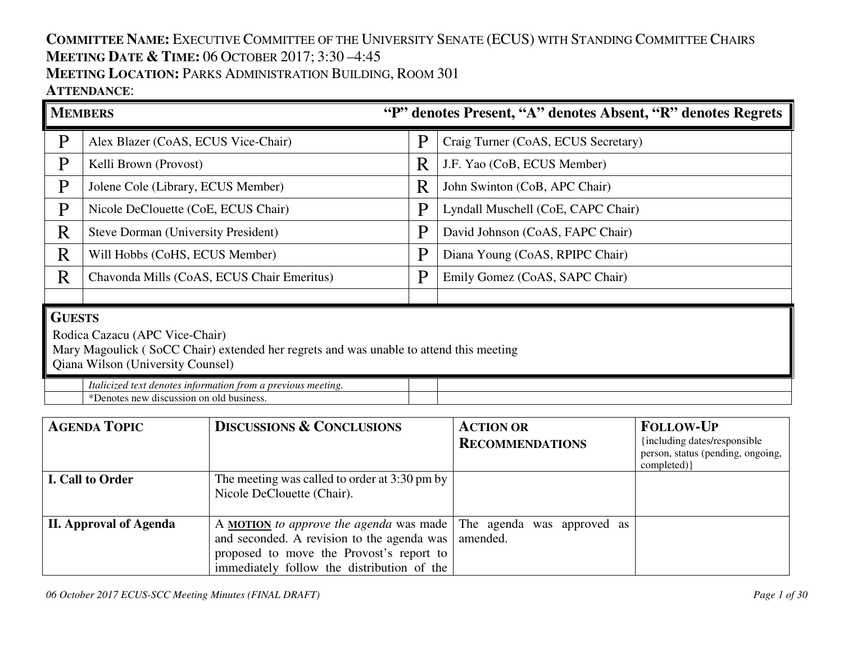# **COMMITTEE NAME:** <sup>E</sup>XECUTIVE COMMITTEE OF THE UNIVERSITY SENATE (ECUS) WITH STANDING COMMITTEE CHAIRS**MEETING DATE & <sup>T</sup>IME:** <sup>06</sup> <sup>O</sup>CTOBER 2017; 3:30 –4:45

**MEETING LOCATION:** <sup>P</sup>ARKS ADMINISTRATION BUILDING, <sup>R</sup>OOM <sup>301</sup>

## **ATTENDANCE**:

| <b>MEMBERS</b><br>"P" denotes Present, "A" denotes Absent, "R" denotes Regrets                                                                                                 |                                                                                                          |   |                                     |  |
|--------------------------------------------------------------------------------------------------------------------------------------------------------------------------------|----------------------------------------------------------------------------------------------------------|---|-------------------------------------|--|
| P                                                                                                                                                                              | Alex Blazer (CoAS, ECUS Vice-Chair)                                                                      | P | Craig Turner (CoAS, ECUS Secretary) |  |
| $\mathbf P$                                                                                                                                                                    | Kelli Brown (Provost)                                                                                    | R | J.F. Yao (CoB, ECUS Member)         |  |
| $\mathbf{P}$                                                                                                                                                                   | Jolene Cole (Library, ECUS Member)                                                                       | R | John Swinton (CoB, APC Chair)       |  |
| P                                                                                                                                                                              | Nicole DeClouette (CoE, ECUS Chair)                                                                      | P | Lyndall Muschell (CoE, CAPC Chair)  |  |
| R                                                                                                                                                                              | <b>Steve Dorman (University President)</b>                                                               | P | David Johnson (CoAS, FAPC Chair)    |  |
| R                                                                                                                                                                              | Will Hobbs (CoHS, ECUS Member)                                                                           | P | Diana Young (CoAS, RPIPC Chair)     |  |
| R                                                                                                                                                                              | Chavonda Mills (CoAS, ECUS Chair Emeritus)                                                               | P | Emily Gomez (CoAS, SAPC Chair)      |  |
|                                                                                                                                                                                |                                                                                                          |   |                                     |  |
| <b>GUESTS</b><br>Rodica Cazacu (APC Vice-Chair)<br>Mary Magoulick (SoCC Chair) extended her regrets and was unable to attend this meeting<br>Qiana Wilson (University Counsel) |                                                                                                          |   |                                     |  |
|                                                                                                                                                                                | Italicized text denotes information from a previous meeting.<br>*Denotes new discussion on old business. |   |                                     |  |

| <b>AGENDA TOPIC</b>           | <b>DISCUSSIONS &amp; CONCLUSIONS</b>                                                                                                                                            | <b>ACTION OR</b><br><b>RECOMMENDATIONS</b> | <b>FOLLOW-UP</b><br>{including dates/responsible<br>person, status (pending, ongoing,<br>completed) } |
|-------------------------------|---------------------------------------------------------------------------------------------------------------------------------------------------------------------------------|--------------------------------------------|-------------------------------------------------------------------------------------------------------|
| I. Call to Order              | The meeting was called to order at 3:30 pm by<br>Nicole DeClouette (Chair).                                                                                                     |                                            |                                                                                                       |
| <b>II. Approval of Agenda</b> | A MOTION to approve the agenda was made<br>and seconded. A revision to the agenda was<br>proposed to move the Provost's report to<br>immediately follow the distribution of the | The agenda was approved as<br>amended.     |                                                                                                       |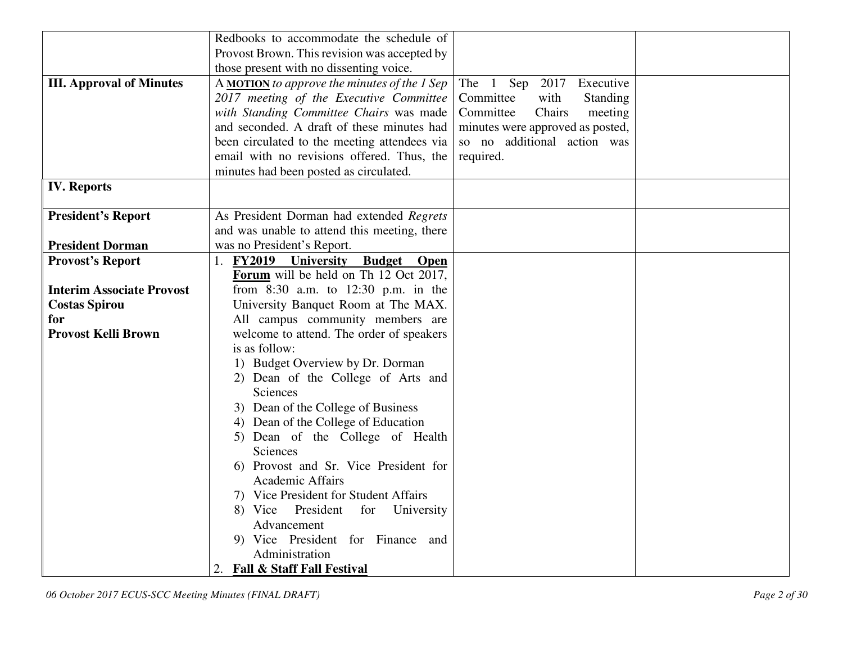| 7) Vice President for Student Affairs     |                                                                                                                                                                                                                                                                                                                                                                                                                                                                                                                                                                                                                                                                                                                                                                                                                                                                                                                                                                                                                                                                                                                                                       |                                                                                                                                                                                       |
|-------------------------------------------|-------------------------------------------------------------------------------------------------------------------------------------------------------------------------------------------------------------------------------------------------------------------------------------------------------------------------------------------------------------------------------------------------------------------------------------------------------------------------------------------------------------------------------------------------------------------------------------------------------------------------------------------------------------------------------------------------------------------------------------------------------------------------------------------------------------------------------------------------------------------------------------------------------------------------------------------------------------------------------------------------------------------------------------------------------------------------------------------------------------------------------------------------------|---------------------------------------------------------------------------------------------------------------------------------------------------------------------------------------|
| President<br>University<br>8) Vice<br>for |                                                                                                                                                                                                                                                                                                                                                                                                                                                                                                                                                                                                                                                                                                                                                                                                                                                                                                                                                                                                                                                                                                                                                       |                                                                                                                                                                                       |
| Advancement                               |                                                                                                                                                                                                                                                                                                                                                                                                                                                                                                                                                                                                                                                                                                                                                                                                                                                                                                                                                                                                                                                                                                                                                       |                                                                                                                                                                                       |
| 9) Vice President for Finance and         |                                                                                                                                                                                                                                                                                                                                                                                                                                                                                                                                                                                                                                                                                                                                                                                                                                                                                                                                                                                                                                                                                                                                                       |                                                                                                                                                                                       |
| Administration                            |                                                                                                                                                                                                                                                                                                                                                                                                                                                                                                                                                                                                                                                                                                                                                                                                                                                                                                                                                                                                                                                                                                                                                       |                                                                                                                                                                                       |
| 2. Fall & Staff Fall Festival             |                                                                                                                                                                                                                                                                                                                                                                                                                                                                                                                                                                                                                                                                                                                                                                                                                                                                                                                                                                                                                                                                                                                                                       |                                                                                                                                                                                       |
|                                           | Redbooks to accommodate the schedule of<br>Provost Brown. This revision was accepted by<br>those present with no dissenting voice.<br>A MOTION to approve the minutes of the 1 Sep<br>2017 meeting of the Executive Committee<br>with Standing Committee Chairs was made<br>and seconded. A draft of these minutes had<br>been circulated to the meeting attendees via<br>email with no revisions offered. Thus, the<br>minutes had been posted as circulated.<br>As President Dorman had extended Regrets<br>and was unable to attend this meeting, there<br>was no President's Report.<br>1. FY2019 University<br><b>Budget</b> Open<br>Forum will be held on Th 12 Oct 2017,<br>from 8:30 a.m. to 12:30 p.m. in the<br>University Banquet Room at The MAX.<br>All campus community members are<br>welcome to attend. The order of speakers<br>is as follow:<br>1) Budget Overview by Dr. Dorman<br>2) Dean of the College of Arts and<br>Sciences<br>3) Dean of the College of Business<br>4) Dean of the College of Education<br>5) Dean of the College of Health<br>Sciences<br>6) Provost and Sr. Vice President for<br><b>Academic Affairs</b> | The 1 Sep 2017<br>Executive<br>Committee<br>with<br><b>Standing</b><br>Committee<br>Chairs<br>meeting<br>minutes were approved as posted,<br>so no additional action was<br>required. |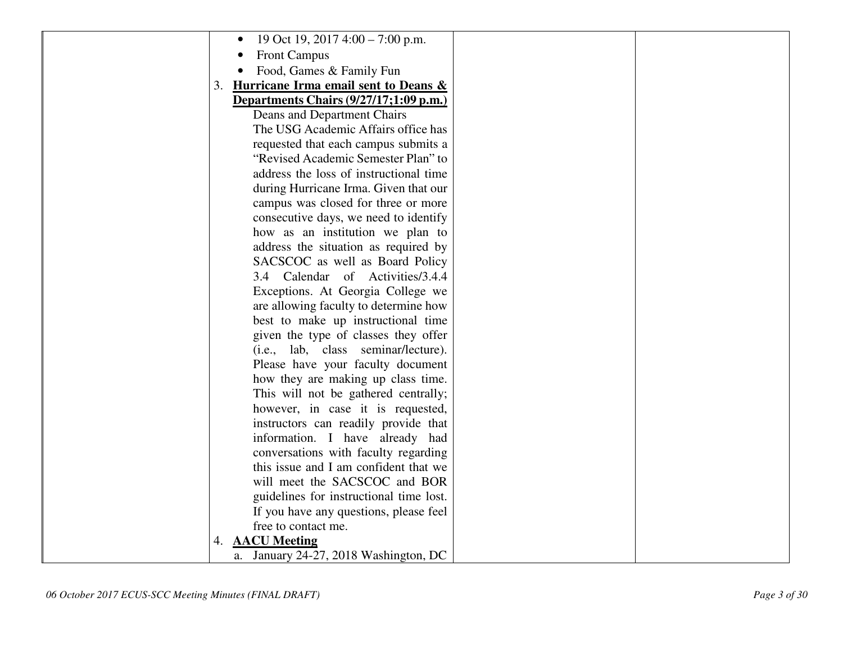|    | 19 Oct 19, 2017 4:00 – 7:00 p.m.<br>$\bullet$ |  |
|----|-----------------------------------------------|--|
|    | <b>Front Campus</b>                           |  |
|    | Food, Games & Family Fun                      |  |
| 3. | Hurricane Irma email sent to Deans &          |  |
|    | Departments Chairs (9/27/17;1:09 p.m.)        |  |
|    | Deans and Department Chairs                   |  |
|    | The USG Academic Affairs office has           |  |
|    | requested that each campus submits a          |  |
|    | "Revised Academic Semester Plan" to           |  |
|    | address the loss of instructional time        |  |
|    | during Hurricane Irma. Given that our         |  |
|    | campus was closed for three or more           |  |
|    | consecutive days, we need to identify         |  |
|    | how as an institution we plan to              |  |
|    | address the situation as required by          |  |
|    | SACSCOC as well as Board Policy               |  |
|    | 3.4 Calendar of Activities/3.4.4              |  |
|    | Exceptions. At Georgia College we             |  |
|    | are allowing faculty to determine how         |  |
|    | best to make up instructional time            |  |
|    | given the type of classes they offer          |  |
|    | (i.e., lab, class seminar/lecture).           |  |
|    | Please have your faculty document             |  |
|    | how they are making up class time.            |  |
|    | This will not be gathered centrally;          |  |
|    | however, in case it is requested,             |  |
|    | instructors can readily provide that          |  |
|    | information. I have already had               |  |
|    | conversations with faculty regarding          |  |
|    | this issue and I am confident that we         |  |
|    | will meet the SACSCOC and BOR                 |  |
|    | guidelines for instructional time lost.       |  |
|    | If you have any questions, please feel        |  |
|    | free to contact me.                           |  |
| 4. | <b>AACU Meeting</b>                           |  |
|    | a. January 24-27, 2018 Washington, DC         |  |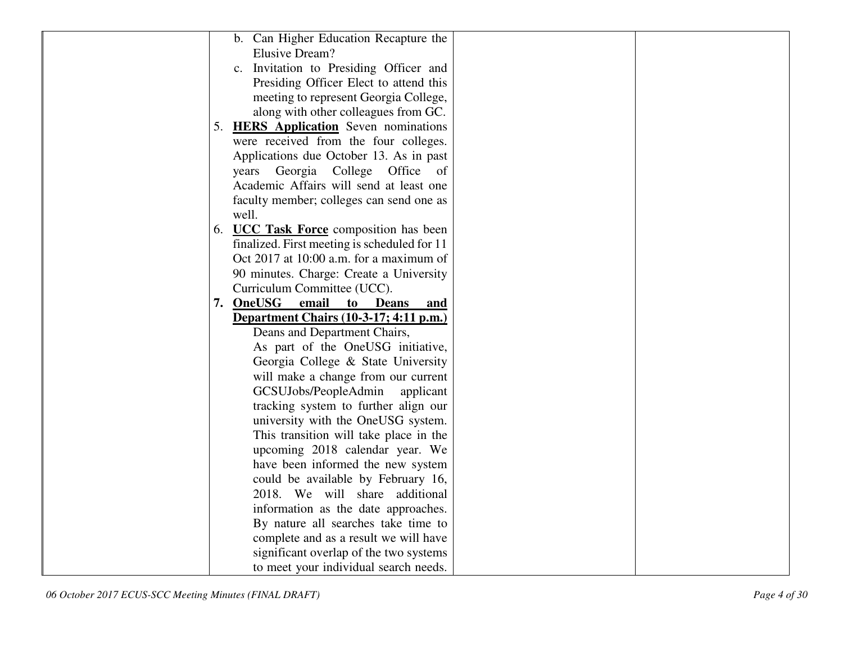| b. Can Higher Education Recapture the        |
|----------------------------------------------|
| <b>Elusive Dream?</b>                        |
| c. Invitation to Presiding Officer and       |
| Presiding Officer Elect to attend this       |
| meeting to represent Georgia College,        |
| along with other colleagues from GC.         |
| 5. <b>HERS Application</b> Seven nominations |
| were received from the four colleges.        |
| Applications due October 13. As in past      |
| years Georgia College Office of              |
| Academic Affairs will send at least one      |
| faculty member; colleges can send one as     |
| well.                                        |
| 6. UCC Task Force composition has been       |
| finalized. First meeting is scheduled for 11 |
| Oct 2017 at 10:00 a.m. for a maximum of      |
| 90 minutes. Charge: Create a University      |
| Curriculum Committee (UCC).                  |
| 7. OneUSG email to Deans<br><u>and</u>       |
| Department Chairs (10-3-17; 4:11 p.m.)       |
| Deans and Department Chairs,                 |
| As part of the OneUSG initiative,            |
| Georgia College & State University           |
| will make a change from our current          |
| GCSUJobs/PeopleAdmin<br>applicant            |
| tracking system to further align our         |
| university with the OneUSG system.           |
| This transition will take place in the       |
| upcoming 2018 calendar year. We              |
| have been informed the new system            |
| could be available by February 16,           |
| 2018. We will share additional               |
| information as the date approaches.          |
| By nature all searches take time to          |
| complete and as a result we will have        |
| significant overlap of the two systems       |
| to meet your individual search needs.        |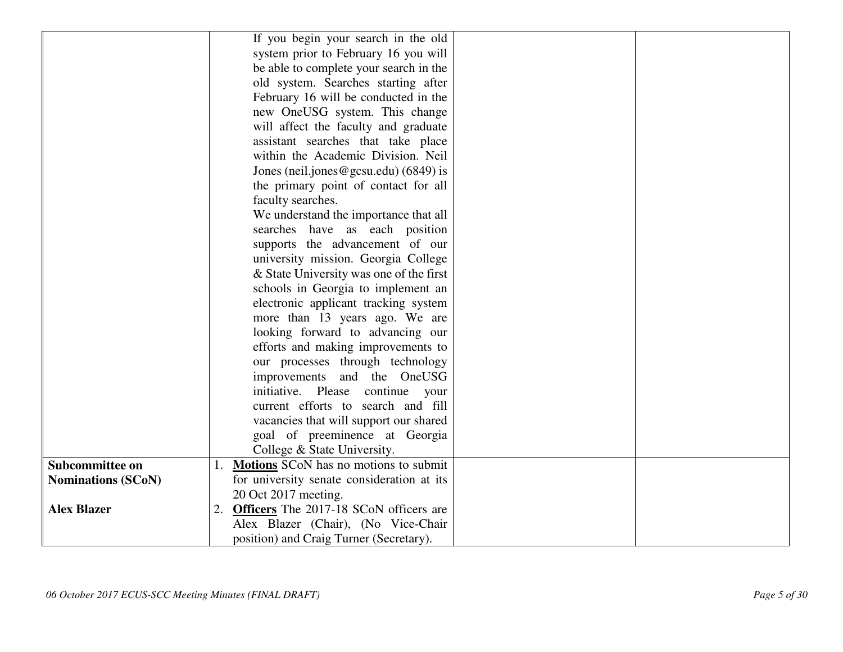|                           | If you begin your search in the old          |
|---------------------------|----------------------------------------------|
|                           | system prior to February 16 you will         |
|                           | be able to complete your search in the       |
|                           | old system. Searches starting after          |
|                           | February 16 will be conducted in the         |
|                           | new OneUSG system. This change               |
|                           | will affect the faculty and graduate         |
|                           | assistant searches that take place           |
|                           | within the Academic Division. Neil           |
|                           | Jones (neil.jones@gcsu.edu) $(6849)$ is      |
|                           | the primary point of contact for all         |
|                           | faculty searches.                            |
|                           | We understand the importance that all        |
|                           | searches have as each position               |
|                           | supports the advancement of our              |
|                           | university mission. Georgia College          |
|                           | & State University was one of the first      |
|                           | schools in Georgia to implement an           |
|                           | electronic applicant tracking system         |
|                           | more than 13 years ago. We are               |
|                           | looking forward to advancing our             |
|                           | efforts and making improvements to           |
|                           | our processes through technology             |
|                           | improvements and the OneUSG                  |
|                           | initiative. Please<br>continue<br>your       |
|                           | current efforts to search and fill           |
|                           | vacancies that will support our shared       |
|                           | goal of preeminence at Georgia               |
|                           | College & State University.                  |
| Subcommittee on           | <b>Motions</b> SCoN has no motions to submit |
| <b>Nominations (SCoN)</b> | for university senate consideration at its   |
|                           | 20 Oct 2017 meeting.                         |
| <b>Alex Blazer</b>        | 2. Officers The 2017-18 SCoN officers are    |
|                           | Alex Blazer (Chair), (No Vice-Chair          |
|                           | position) and Craig Turner (Secretary).      |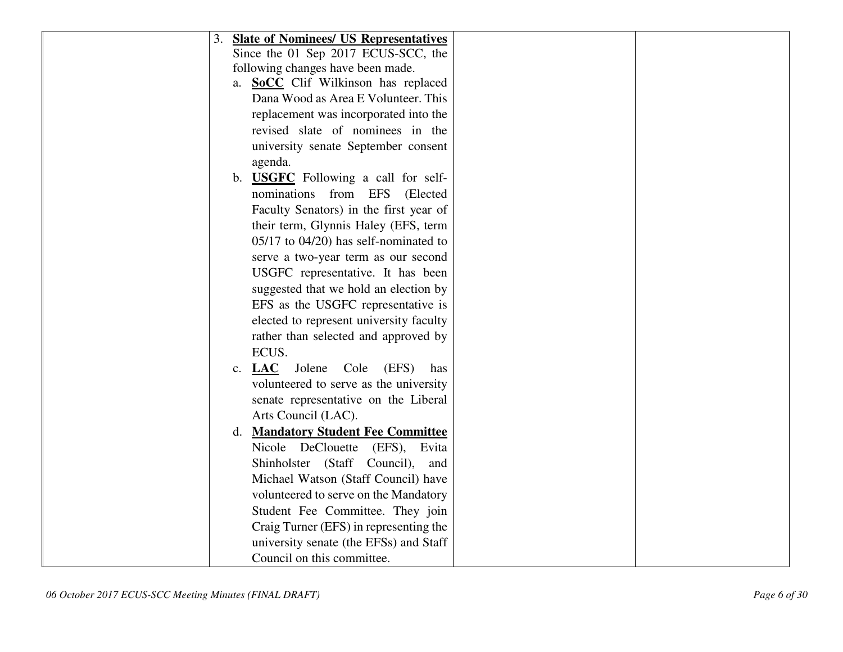| 3. Slate of Nominees/ US Representatives   |
|--------------------------------------------|
| Since the 01 Sep 2017 ECUS-SCC, the        |
| following changes have been made.          |
| a. <b>SoCC</b> Clif Wilkinson has replaced |
| Dana Wood as Area E Volunteer. This        |
| replacement was incorporated into the      |
| revised slate of nominees in the           |
| university senate September consent        |
| agenda.                                    |
| b. <b>USGFC</b> Following a call for self- |
| nominations from EFS (Elected              |
| Faculty Senators) in the first year of     |
| their term, Glynnis Haley (EFS, term       |
| $05/17$ to $04/20$ ) has self-nominated to |
| serve a two-year term as our second        |
| USGFC representative. It has been          |
| suggested that we hold an election by      |
| EFS as the USGFC representative is         |
| elected to represent university faculty    |
| rather than selected and approved by       |
| ECUS.                                      |
| c. $LAC$<br>Jolene Cole<br>(EFS)<br>has    |
| volunteered to serve as the university     |
| senate representative on the Liberal       |
| Arts Council (LAC).                        |
| d. Mandatory Student Fee Committee         |
| Nicole DeClouette<br>(EFS), Evita          |
| Shinholster (Staff Council),<br>and        |
| Michael Watson (Staff Council) have        |
| volunteered to serve on the Mandatory      |
| Student Fee Committee. They join           |
| Craig Turner (EFS) in representing the     |
| university senate (the EFSs) and Staff     |
| Council on this committee.                 |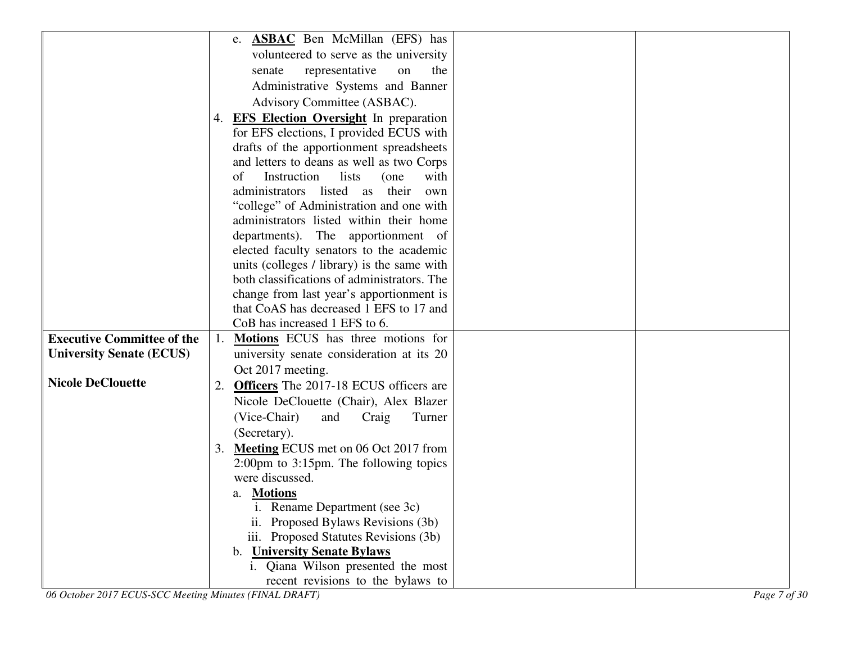|                                   |    | e. <b>ASBAC</b> Ben McMillan (EFS) has                              |  |
|-----------------------------------|----|---------------------------------------------------------------------|--|
|                                   |    | volunteered to serve as the university                              |  |
|                                   |    | representative<br>the<br>senate<br>on                               |  |
|                                   |    | Administrative Systems and Banner                                   |  |
|                                   |    | Advisory Committee (ASBAC).                                         |  |
|                                   |    | 4. <b>EFS Election Oversight</b> In preparation                     |  |
|                                   |    | for EFS elections, I provided ECUS with                             |  |
|                                   |    | drafts of the apportionment spreadsheets                            |  |
|                                   |    | and letters to deans as well as two Corps                           |  |
|                                   |    | Instruction<br>of<br>lists<br>with<br>(one                          |  |
|                                   |    | administrators listed as their<br>own                               |  |
|                                   |    | "college" of Administration and one with                            |  |
|                                   |    | administrators listed within their home                             |  |
|                                   |    | departments). The apportionment of                                  |  |
|                                   |    | elected faculty senators to the academic                            |  |
|                                   |    | units (colleges / library) is the same with                         |  |
|                                   |    | both classifications of administrators. The                         |  |
|                                   |    | change from last year's apportionment is                            |  |
|                                   |    | that CoAS has decreased 1 EFS to 17 and                             |  |
| <b>Executive Committee of the</b> |    | CoB has increased 1 EFS to 6.<br>Motions ECUS has three motions for |  |
| <b>University Senate (ECUS)</b>   | 1. |                                                                     |  |
|                                   |    | university senate consideration at its 20                           |  |
| <b>Nicole DeClouette</b>          |    | Oct 2017 meeting.                                                   |  |
|                                   | 2. | <b>Officers</b> The 2017-18 ECUS officers are                       |  |
|                                   |    | Nicole DeClouette (Chair), Alex Blazer<br>(Vice-Chair)<br>Turner    |  |
|                                   |    | and<br>Craig                                                        |  |
|                                   |    | (Secretary).<br>3. Meeting ECUS met on 06 Oct 2017 from             |  |
|                                   |    | 2:00pm to 3:15pm. The following topics                              |  |
|                                   |    | were discussed.                                                     |  |
|                                   |    | <b>Motions</b><br>a.                                                |  |
|                                   |    | . Rename Department (see 3c)                                        |  |
|                                   |    | Proposed Bylaws Revisions (3b)<br>11.                               |  |
|                                   |    | iii. Proposed Statutes Revisions (3b)                               |  |
|                                   |    | <b>University Senate Bylaws</b><br>$\mathbf{b}$ .                   |  |
|                                   |    | i. Qiana Wilson presented the most                                  |  |
|                                   |    | recent revisions to the bylaws to                                   |  |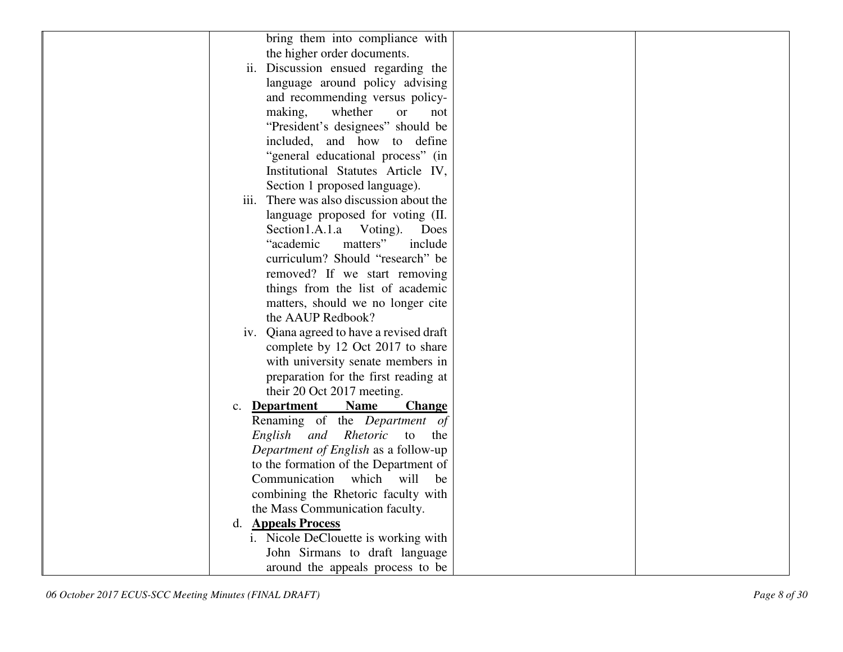| bring them into compliance with                                     |  |
|---------------------------------------------------------------------|--|
|                                                                     |  |
| the higher order documents.                                         |  |
| Discussion ensued regarding the<br>11.                              |  |
| language around policy advising                                     |  |
| and recommending versus policy-                                     |  |
| whether<br>making,<br><b>or</b><br>not                              |  |
| "President's designees" should be                                   |  |
| included, and how to define                                         |  |
| "general educational process" (in                                   |  |
| Institutional Statutes Article IV,                                  |  |
| Section 1 proposed language).                                       |  |
| There was also discussion about the<br>111.                         |  |
| language proposed for voting (II.                                   |  |
| Section 1.A.1.a Voting).<br>Does                                    |  |
| "academic<br>matters"<br>include                                    |  |
| curriculum? Should "research" be                                    |  |
| removed? If we start removing                                       |  |
| things from the list of academic                                    |  |
| matters, should we no longer cite                                   |  |
| the AAUP Redbook?                                                   |  |
| iv. Qiana agreed to have a revised draft                            |  |
| complete by 12 Oct 2017 to share                                    |  |
| with university senate members in                                   |  |
| preparation for the first reading at                                |  |
| their 20 Oct 2017 meeting.                                          |  |
| <b>Department</b><br><b>Name</b><br><b>Change</b><br>$\mathbf{c}$ . |  |
| Renaming of the Department of                                       |  |
| English<br>and<br>Rhetoric<br>to<br>the                             |  |
| Department of English as a follow-up                                |  |
| to the formation of the Department of                               |  |
| which will<br>Communication<br>be                                   |  |
| combining the Rhetoric faculty with                                 |  |
| the Mass Communication faculty.                                     |  |
| d. <b>Appeals Process</b>                                           |  |
| i. Nicole DeClouette is working with                                |  |
| John Sirmans to draft language                                      |  |
|                                                                     |  |
| around the appeals process to be                                    |  |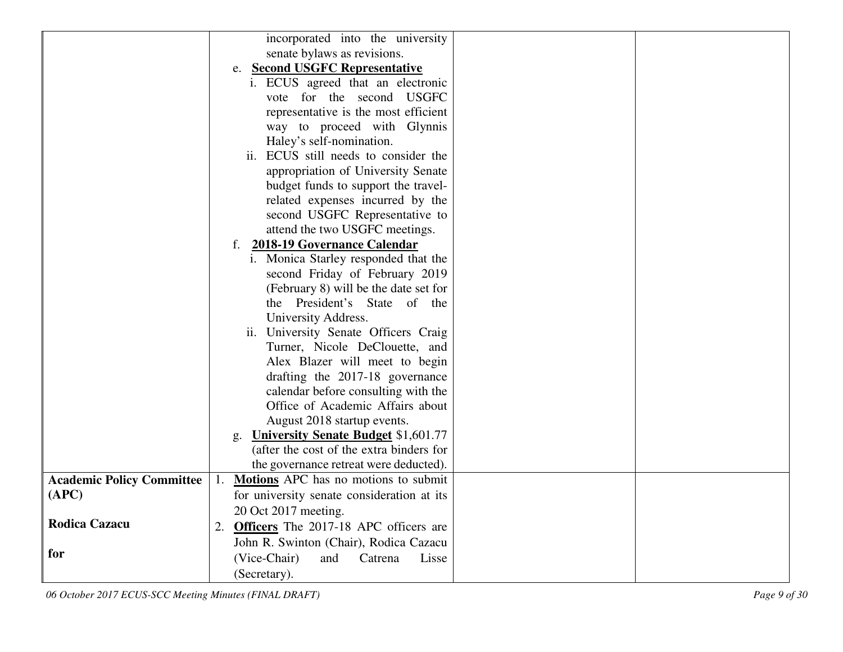|                                  | incorporated into the university                   |  |
|----------------------------------|----------------------------------------------------|--|
|                                  | senate bylaws as revisions.                        |  |
|                                  | e. Second USGFC Representative                     |  |
|                                  | i. ECUS agreed that an electronic                  |  |
|                                  | vote for the second USGFC                          |  |
|                                  | representative is the most efficient               |  |
|                                  |                                                    |  |
|                                  | way to proceed with Glynnis                        |  |
|                                  | Haley's self-nomination.                           |  |
|                                  | ii. ECUS still needs to consider the               |  |
|                                  | appropriation of University Senate                 |  |
|                                  | budget funds to support the travel-                |  |
|                                  | related expenses incurred by the                   |  |
|                                  | second USGFC Representative to                     |  |
|                                  | attend the two USGFC meetings.                     |  |
|                                  | f. 2018-19 Governance Calendar                     |  |
|                                  | i. Monica Starley responded that the               |  |
|                                  | second Friday of February 2019                     |  |
|                                  | (February 8) will be the date set for              |  |
|                                  | the President's State of the                       |  |
|                                  | University Address.                                |  |
|                                  | ii. University Senate Officers Craig               |  |
|                                  | Turner, Nicole DeClouette, and                     |  |
|                                  | Alex Blazer will meet to begin                     |  |
|                                  | drafting the 2017-18 governance                    |  |
|                                  | calendar before consulting with the                |  |
|                                  | Office of Academic Affairs about                   |  |
|                                  | August 2018 startup events.                        |  |
|                                  | <b>University Senate Budget \$1,601.77</b><br>g.   |  |
|                                  | (after the cost of the extra binders for           |  |
|                                  | the governance retreat were deducted).             |  |
| <b>Academic Policy Committee</b> | <b>Motions</b> APC has no motions to submit<br>1.  |  |
| (APC)                            | for university senate consideration at its         |  |
|                                  | 20 Oct 2017 meeting.                               |  |
| <b>Rodica Cazacu</b>             | <b>Officers</b> The 2017-18 APC officers are<br>2. |  |
|                                  | John R. Swinton (Chair), Rodica Cazacu             |  |
| for                              | (Vice-Chair)<br>and<br>Catrena<br>Lisse            |  |
|                                  |                                                    |  |
|                                  | (Secretary).                                       |  |

*06 October 2017 ECUS-SCC Meeting Minutes (FINAL DRAFT) Page 9 of 30*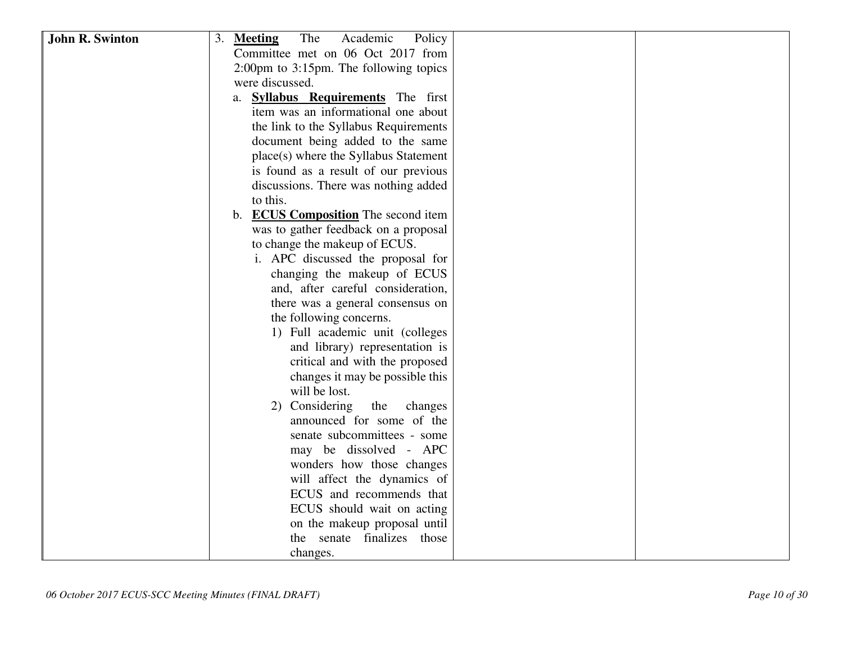| <b>John R. Swinton</b> | 3.<br>The<br>Academic<br>Policy<br><b>Meeting</b>           |
|------------------------|-------------------------------------------------------------|
|                        | Committee met on 06 Oct 2017 from                           |
|                        | $2:00 \text{pm}$ to $3:15 \text{pm}$ . The following topics |
|                        | were discussed.                                             |
|                        | <b>Syllabus Requirements</b> The first<br>a.                |
|                        | item was an informational one about                         |
|                        | the link to the Syllabus Requirements                       |
|                        | document being added to the same                            |
|                        | place(s) where the Syllabus Statement                       |
|                        | is found as a result of our previous                        |
|                        | discussions. There was nothing added                        |
|                        | to this.                                                    |
|                        | <b>ECUS Composition</b> The second item<br>$\mathbf{b}$ .   |
|                        | was to gather feedback on a proposal                        |
|                        | to change the makeup of ECUS.                               |
|                        | i. APC discussed the proposal for                           |
|                        | changing the makeup of ECUS                                 |
|                        | and, after careful consideration,                           |
|                        | there was a general consensus on                            |
|                        | the following concerns.                                     |
|                        | 1) Full academic unit (colleges                             |
|                        | and library) representation is                              |
|                        | critical and with the proposed                              |
|                        | changes it may be possible this                             |
|                        | will be lost.                                               |
|                        | 2) Considering<br>the<br>changes                            |
|                        | announced for some of the                                   |
|                        | senate subcommittees - some                                 |
|                        | may be dissolved - APC                                      |
|                        | wonders how those changes                                   |
|                        | will affect the dynamics of                                 |
|                        | ECUS and recommends that                                    |
|                        | ECUS should wait on acting                                  |
|                        | on the makeup proposal until                                |
|                        | the senate finalizes those                                  |
|                        | changes.                                                    |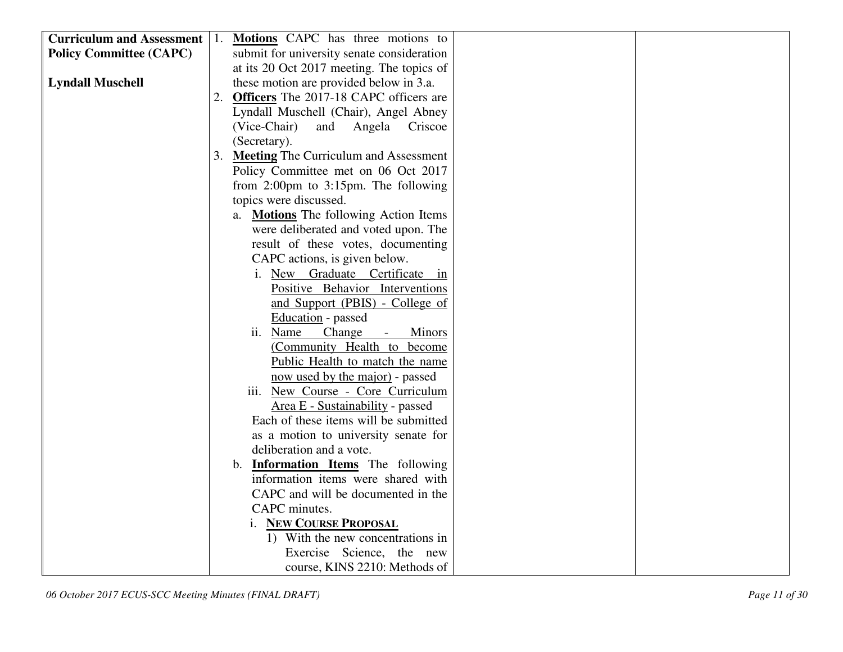| <b>Curriculum and Assessment</b> | Motions CAPC has three motions to                         |  |
|----------------------------------|-----------------------------------------------------------|--|
| <b>Policy Committee (CAPC)</b>   | submit for university senate consideration                |  |
|                                  | at its 20 Oct 2017 meeting. The topics of                 |  |
| <b>Lyndall Muschell</b>          | these motion are provided below in 3.a.                   |  |
|                                  | 2. Officers The 2017-18 CAPC officers are                 |  |
|                                  | Lyndall Muschell (Chair), Angel Abney                     |  |
|                                  | (Vice-Chair)<br>and<br>Angela<br>Criscoe                  |  |
|                                  | (Secretary).                                              |  |
|                                  | 3. Meeting The Curriculum and Assessment                  |  |
|                                  | Policy Committee met on 06 Oct 2017                       |  |
|                                  | from $2:00 \text{pm}$ to $3:15 \text{pm}$ . The following |  |
|                                  | topics were discussed.                                    |  |
|                                  | a. Motions The following Action Items                     |  |
|                                  | were deliberated and voted upon. The                      |  |
|                                  | result of these votes, documenting                        |  |
|                                  | CAPC actions, is given below.                             |  |
|                                  | i. New Graduate Certificate in                            |  |
|                                  | Positive Behavior Interventions                           |  |
|                                  | and Support (PBIS) - College of                           |  |
|                                  | Education - passed                                        |  |
|                                  | Change<br>ii. Name<br><b>Minors</b><br>$\blacksquare$     |  |
|                                  | (Community Health to become                               |  |
|                                  | Public Health to match the name                           |  |
|                                  | now used by the major) - passed                           |  |
|                                  | iii. New Course - Core Curriculum                         |  |
|                                  | Area E - Sustainability - passed                          |  |
|                                  | Each of these items will be submitted                     |  |
|                                  | as a motion to university senate for                      |  |
|                                  | deliberation and a vote.                                  |  |
|                                  | b. <b>Information Items</b> The following                 |  |
|                                  | information items were shared with                        |  |
|                                  | CAPC and will be documented in the                        |  |
|                                  | CAPC minutes.                                             |  |
|                                  | <b>NEW COURSE PROPOSAL</b><br>i.                          |  |
|                                  | 1) With the new concentrations in                         |  |
|                                  | Exercise Science, the new                                 |  |
|                                  | course, KINS 2210: Methods of                             |  |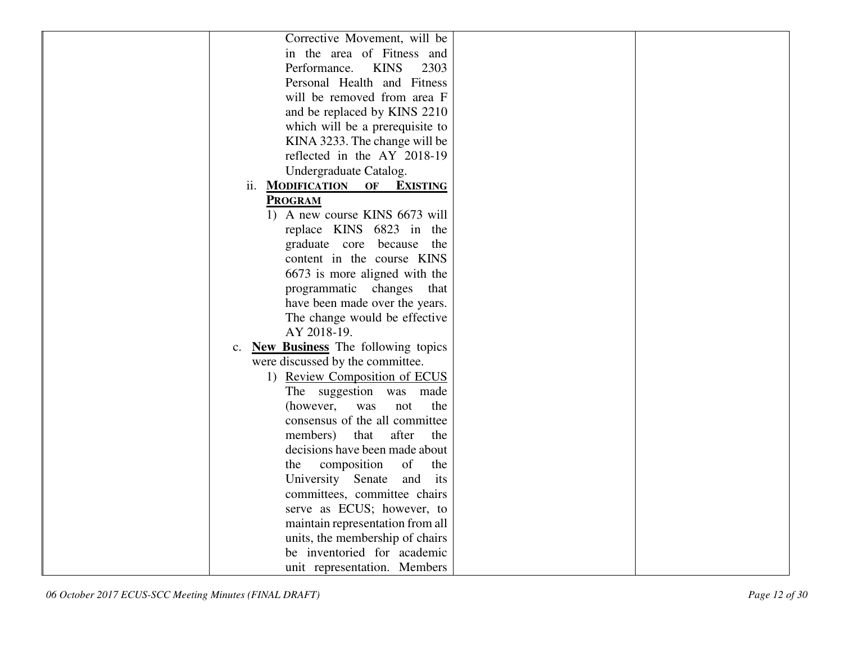| Corrective Movement, will be                               |  |
|------------------------------------------------------------|--|
| in the area of Fitness and                                 |  |
| Performance.<br>2303<br><b>KINS</b>                        |  |
| Personal Health and Fitness                                |  |
| will be removed from area F                                |  |
| and be replaced by KINS 2210                               |  |
| which will be a prerequisite to                            |  |
| KINA 3233. The change will be                              |  |
| reflected in the AY 2018-19                                |  |
| Undergraduate Catalog.                                     |  |
| <b>MODIFICATION OF</b><br><b>EXISTING</b><br>11.           |  |
| <b>PROGRAM</b>                                             |  |
| 1) A new course KINS 6673 will                             |  |
| replace KINS 6823 in the                                   |  |
| graduate core because<br>the                               |  |
| content in the course KINS                                 |  |
| 6673 is more aligned with the                              |  |
| programmatic changes<br>that                               |  |
| have been made over the years.                             |  |
| The change would be effective                              |  |
| AY 2018-19.                                                |  |
| <b>New Business</b> The following topics<br>$\mathbf{C}$ . |  |
| were discussed by the committee.                           |  |
| 1) Review Composition of ECUS                              |  |
| The suggestion was made                                    |  |
| (however,<br>the<br>not<br>was                             |  |
| consensus of the all committee                             |  |
| after<br>members)<br>that<br>the                           |  |
| decisions have been made about                             |  |
| composition<br>of<br>the<br>the                            |  |
| University Senate<br>and<br>its                            |  |
| committees, committee chairs                               |  |
| serve as ECUS; however, to                                 |  |
| maintain representation from all                           |  |
| units, the membership of chairs                            |  |
| be inventoried for academic                                |  |
| unit representation. Members                               |  |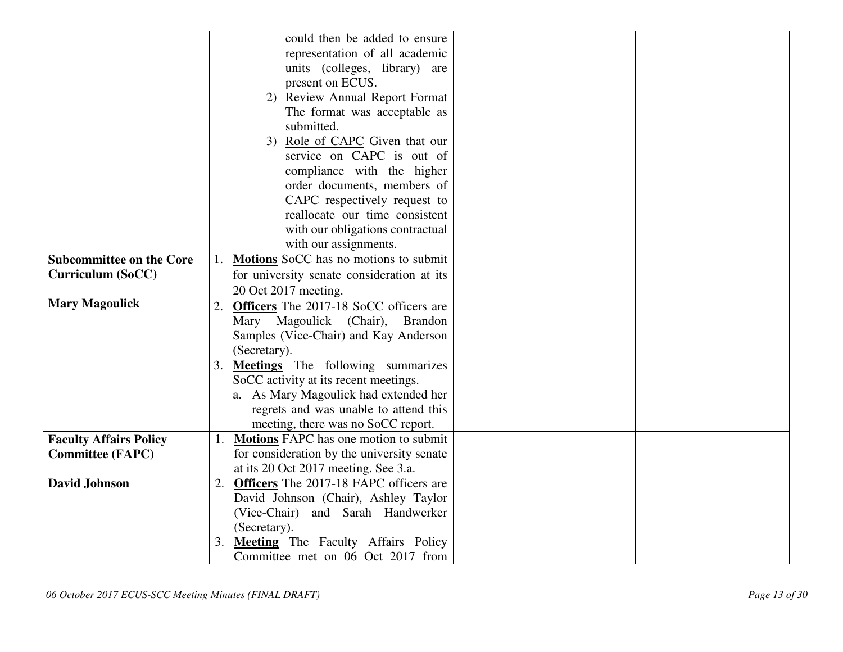|                                 | could then be added to ensure              |  |
|---------------------------------|--------------------------------------------|--|
|                                 | representation of all academic             |  |
|                                 | units (colleges, library) are              |  |
|                                 | present on ECUS.                           |  |
|                                 | <b>Review Annual Report Format</b><br>2)   |  |
|                                 | The format was acceptable as               |  |
|                                 | submitted.                                 |  |
|                                 | Role of CAPC Given that our<br>3)          |  |
|                                 | service on CAPC is out of                  |  |
|                                 | compliance with the higher                 |  |
|                                 | order documents, members of                |  |
|                                 | CAPC respectively request to               |  |
|                                 | reallocate our time consistent             |  |
|                                 | with our obligations contractual           |  |
|                                 | with our assignments.                      |  |
| <b>Subcommittee on the Core</b> | Motions SoCC has no motions to submit      |  |
| <b>Curriculum (SoCC)</b>        | for university senate consideration at its |  |
|                                 | 20 Oct 2017 meeting.                       |  |
| <b>Mary Magoulick</b>           | 2. Officers The 2017-18 SoCC officers are  |  |
|                                 | Mary Magoulick (Chair),<br><b>Brandon</b>  |  |
|                                 | Samples (Vice-Chair) and Kay Anderson      |  |
|                                 | (Secretary).                               |  |
|                                 | 3. Meetings The following summarizes       |  |
|                                 | SoCC activity at its recent meetings.      |  |
|                                 | a. As Mary Magoulick had extended her      |  |
|                                 | regrets and was unable to attend this      |  |
|                                 | meeting, there was no SoCC report.         |  |
| <b>Faculty Affairs Policy</b>   | Motions FAPC has one motion to submit      |  |
| <b>Committee (FAPC)</b>         | for consideration by the university senate |  |
|                                 | at its 20 Oct 2017 meeting. See 3.a.       |  |
| <b>David Johnson</b>            | 2. Officers The 2017-18 FAPC officers are  |  |
|                                 | David Johnson (Chair), Ashley Taylor       |  |
|                                 | (Vice-Chair) and Sarah Handwerker          |  |
|                                 | (Secretary).                               |  |
|                                 | 3. Meeting The Faculty Affairs Policy      |  |
|                                 | Committee met on 06 Oct 2017 from          |  |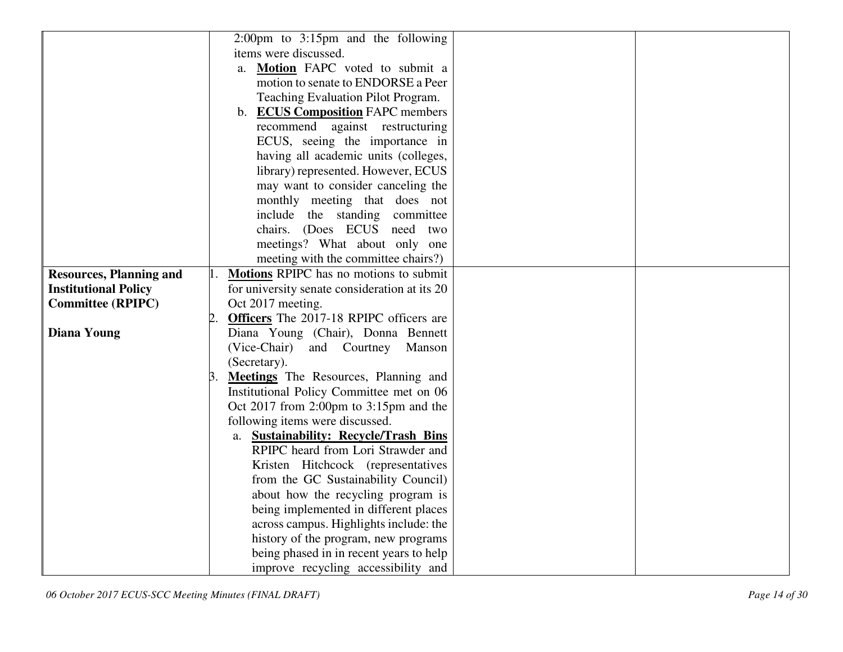|                                | $2:00 \text{pm}$ to $3:15 \text{pm}$ and the following |
|--------------------------------|--------------------------------------------------------|
|                                | items were discussed.                                  |
|                                | Motion FAPC voted to submit a<br>a.                    |
|                                | motion to senate to ENDORSE a Peer                     |
|                                | Teaching Evaluation Pilot Program.                     |
|                                | <b>ECUS Composition</b> FAPC members<br>$\mathbf{b}$ . |
|                                | recommend against restructuring                        |
|                                | ECUS, seeing the importance in                         |
|                                | having all academic units (colleges,                   |
|                                | library) represented. However, ECUS                    |
|                                | may want to consider canceling the                     |
|                                | monthly meeting that does not                          |
|                                | include the standing committee                         |
|                                | chairs. (Does ECUS need two                            |
|                                | meetings? What about only one                          |
|                                | meeting with the committee chairs?)                    |
| <b>Resources, Planning and</b> | <b>Motions</b> RPIPC has no motions to submit          |
| <b>Institutional Policy</b>    | for university senate consideration at its 20          |
| <b>Committee (RPIPC)</b>       | Oct 2017 meeting.                                      |
|                                | <b>Officers</b> The 2017-18 RPIPC officers are         |
| <b>Diana Young</b>             | Diana Young (Chair), Donna Bennett                     |
|                                | (Vice-Chair)<br>and Courtney<br>Manson                 |
|                                | (Secretary).                                           |
|                                | <b>Meetings</b> The Resources, Planning and<br>Β.      |
|                                | Institutional Policy Committee met on 06               |
|                                | Oct 2017 from 2:00pm to 3:15pm and the                 |
|                                | following items were discussed.                        |
|                                | a. Sustainability: Recycle/Trash Bins                  |
|                                | RPIPC heard from Lori Strawder and                     |
|                                | Kristen Hitchcock (representatives                     |
|                                | from the GC Sustainability Council)                    |
|                                | about how the recycling program is                     |
|                                | being implemented in different places                  |
|                                | across campus. Highlights include: the                 |
|                                | history of the program, new programs                   |
|                                | being phased in in recent years to help                |
|                                | improve recycling accessibility and                    |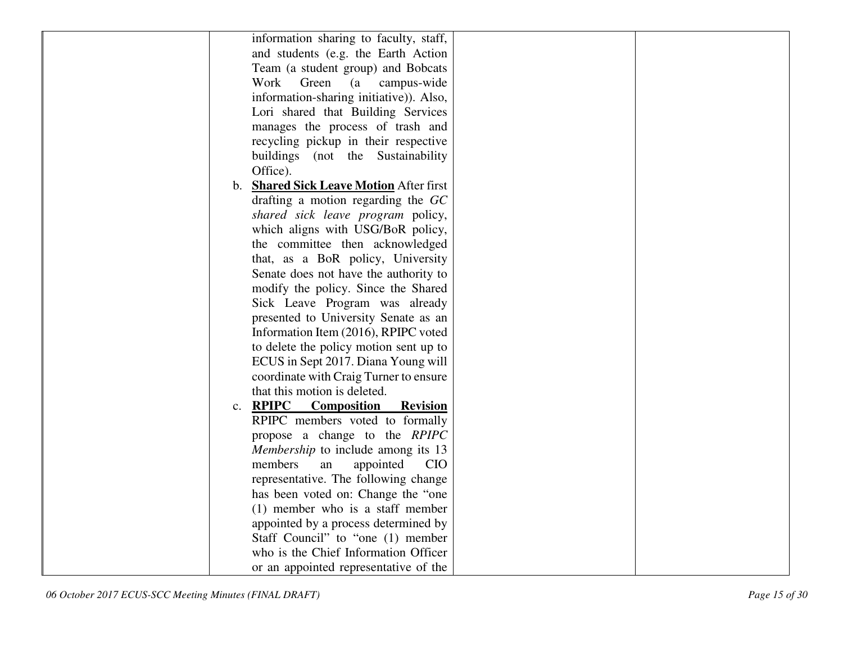|  | information sharing to faculty, staff,        |  |
|--|-----------------------------------------------|--|
|  | and students (e.g. the Earth Action           |  |
|  | Team (a student group) and Bobcats            |  |
|  | Work<br>Green<br>campus-wide<br>(a)           |  |
|  | information-sharing initiative)). Also,       |  |
|  | Lori shared that Building Services            |  |
|  | manages the process of trash and              |  |
|  | recycling pickup in their respective          |  |
|  | buildings (not the Sustainability             |  |
|  | Office).                                      |  |
|  | b. Shared Sick Leave Motion After first       |  |
|  | drafting a motion regarding the $GC$          |  |
|  | shared sick leave program policy,             |  |
|  | which aligns with USG/BoR policy,             |  |
|  | the committee then acknowledged               |  |
|  | that, as a BoR policy, University             |  |
|  |                                               |  |
|  | Senate does not have the authority to         |  |
|  | modify the policy. Since the Shared           |  |
|  | Sick Leave Program was already                |  |
|  | presented to University Senate as an          |  |
|  | Information Item (2016), RPIPC voted          |  |
|  | to delete the policy motion sent up to        |  |
|  | ECUS in Sept 2017. Diana Young will           |  |
|  | coordinate with Craig Turner to ensure        |  |
|  | that this motion is deleted.                  |  |
|  | c. RPIPC Composition<br><b>Revision</b>       |  |
|  | RPIPC members voted to formally               |  |
|  | propose a change to the RPIPC                 |  |
|  | Membership to include among its 13<br>members |  |
|  | appointed<br>an<br><b>CIO</b>                 |  |
|  | representative. The following change          |  |
|  | has been voted on: Change the "one            |  |
|  | $(1)$ member who is a staff member            |  |
|  | appointed by a process determined by          |  |
|  | Staff Council" to "one (1) member             |  |
|  | who is the Chief Information Officer          |  |
|  | or an appointed representative of the         |  |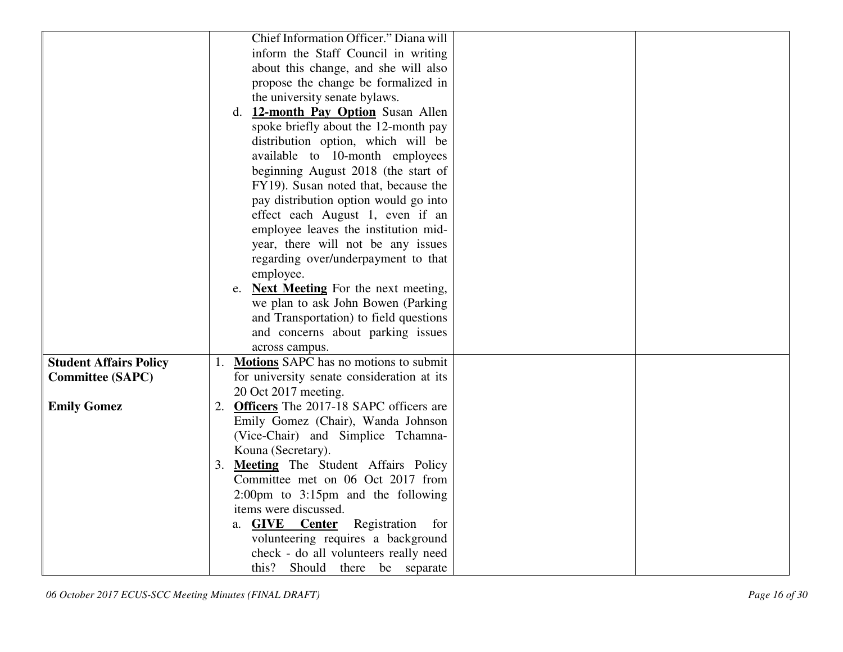|                               | Chief Information Officer." Diana will                 |
|-------------------------------|--------------------------------------------------------|
|                               | inform the Staff Council in writing                    |
|                               | about this change, and she will also                   |
|                               | propose the change be formalized in                    |
|                               | the university senate bylaws.                          |
|                               | d. 12-month Pay Option Susan Allen                     |
|                               | spoke briefly about the 12-month pay                   |
|                               | distribution option, which will be                     |
|                               | available to 10-month employees                        |
|                               | beginning August 2018 (the start of                    |
|                               | FY19). Susan noted that, because the                   |
|                               | pay distribution option would go into                  |
|                               | effect each August 1, even if an                       |
|                               | employee leaves the institution mid-                   |
|                               | year, there will not be any issues                     |
|                               | regarding over/underpayment to that                    |
|                               | employee.                                              |
|                               | e. Next Meeting For the next meeting,                  |
|                               | we plan to ask John Bowen (Parking                     |
|                               | and Transportation) to field questions                 |
|                               | and concerns about parking issues                      |
|                               | across campus.                                         |
| <b>Student Affairs Policy</b> | <b>Motions</b> SAPC has no motions to submit           |
| <b>Committee (SAPC)</b>       | for university senate consideration at its             |
|                               | 20 Oct 2017 meeting.                                   |
| <b>Emily Gomez</b>            | <b>Officers</b> The 2017-18 SAPC officers are<br>2.    |
|                               | Emily Gomez (Chair), Wanda Johnson                     |
|                               | (Vice-Chair) and Simplice Tchamna-                     |
|                               | Kouna (Secretary).                                     |
|                               | <b>Meeting</b> The Student Affairs Policy<br>3.        |
|                               | Committee met on 06 Oct 2017 from                      |
|                               | $2:00 \text{pm}$ to $3:15 \text{pm}$ and the following |
|                               | items were discussed.                                  |
|                               | <b>GIVE Center</b> Registration<br>for<br>а.           |
|                               | volunteering requires a background                     |
|                               | check - do all volunteers really need                  |
|                               | this? Should<br>there be separate                      |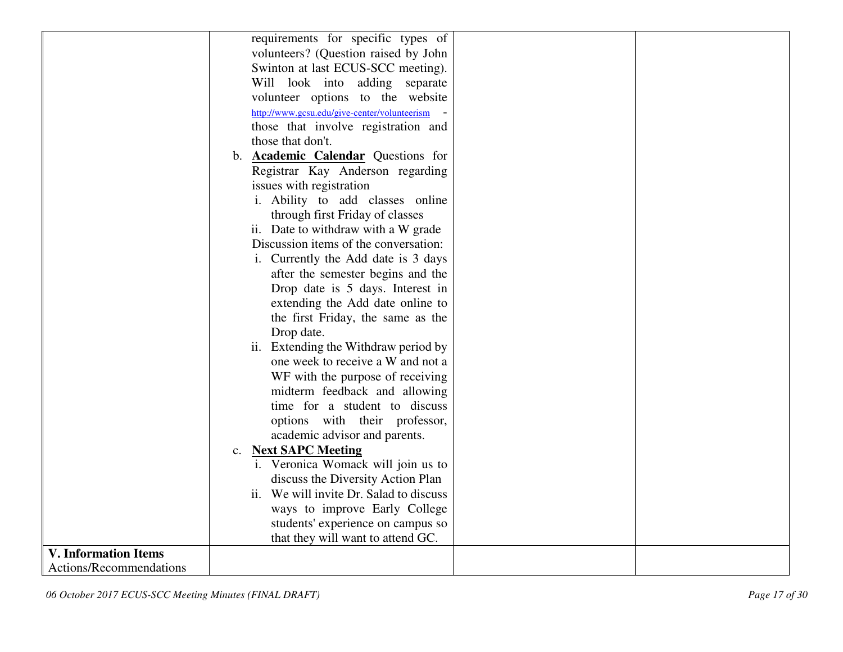|                             | requirements for specific types of             |
|-----------------------------|------------------------------------------------|
|                             | volunteers? (Question raised by John           |
|                             | Swinton at last ECUS-SCC meeting).             |
|                             | Will look into adding separate                 |
|                             | volunteer options to the website               |
|                             | http://www.gcsu.edu/give-center/volunteerism - |
|                             | those that involve registration and            |
|                             | those that don't.                              |
|                             |                                                |
|                             | b. <b>Academic Calendar</b> Questions for      |
|                             | Registrar Kay Anderson regarding               |
|                             | issues with registration                       |
|                             | i. Ability to add classes online               |
|                             | through first Friday of classes                |
|                             | ii. Date to withdraw with a W grade            |
|                             | Discussion items of the conversation:          |
|                             | i. Currently the Add date is 3 days            |
|                             | after the semester begins and the              |
|                             | Drop date is 5 days. Interest in               |
|                             | extending the Add date online to               |
|                             | the first Friday, the same as the              |
|                             | Drop date.                                     |
|                             | ii. Extending the Withdraw period by           |
|                             | one week to receive a W and not a              |
|                             | WF with the purpose of receiving               |
|                             | midterm feedback and allowing                  |
|                             | time for a student to discuss                  |
|                             | options with their professor,                  |
|                             | academic advisor and parents.                  |
|                             | <b>Next SAPC Meeting</b><br>$\mathbf{c}$ .     |
|                             | i. Veronica Womack will join us to             |
|                             | discuss the Diversity Action Plan              |
|                             | ii. We will invite Dr. Salad to discuss        |
|                             | ways to improve Early College                  |
|                             | students' experience on campus so              |
|                             | that they will want to attend GC.              |
| <b>V.</b> Information Items |                                                |
| Actions/Recommendations     |                                                |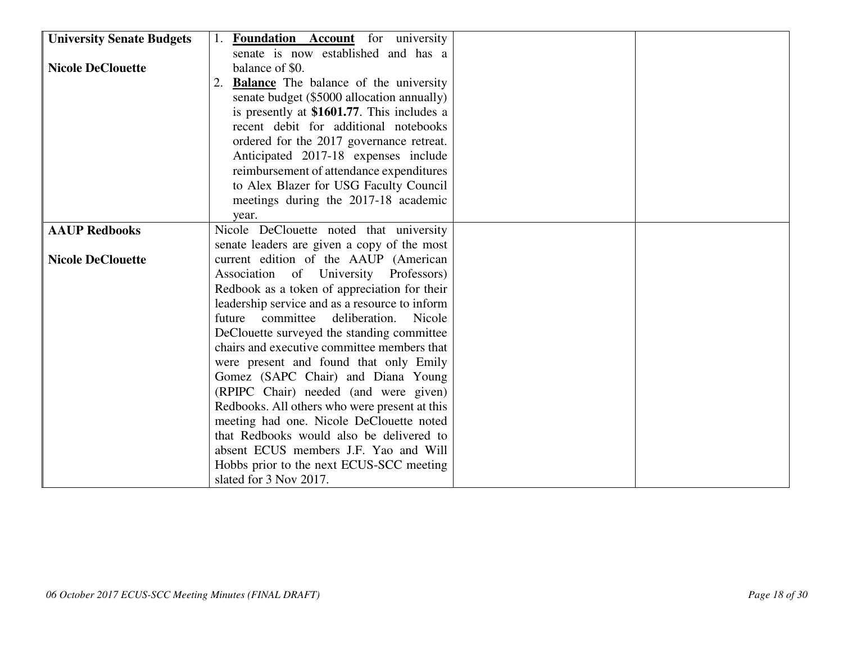| <b>University Senate Budgets</b> | <b>Foundation Account</b> for university        |  |
|----------------------------------|-------------------------------------------------|--|
|                                  | senate is now established and has a             |  |
| <b>Nicole DeClouette</b>         | balance of \$0.                                 |  |
|                                  | 2. <b>Balance</b> The balance of the university |  |
|                                  | senate budget (\$5000 allocation annually)      |  |
|                                  | is presently at \$1601.77. This includes a      |  |
|                                  | recent debit for additional notebooks           |  |
|                                  | ordered for the 2017 governance retreat.        |  |
|                                  | Anticipated 2017-18 expenses include            |  |
|                                  | reimbursement of attendance expenditures        |  |
|                                  | to Alex Blazer for USG Faculty Council          |  |
|                                  | meetings during the 2017-18 academic            |  |
|                                  | year.                                           |  |
| <b>AAUP Redbooks</b>             | Nicole DeClouette noted that university         |  |
|                                  | senate leaders are given a copy of the most     |  |
| <b>Nicole DeClouette</b>         | current edition of the AAUP (American           |  |
|                                  | Association of University Professors)           |  |
|                                  | Redbook as a token of appreciation for their    |  |
|                                  | leadership service and as a resource to inform  |  |
|                                  | future committee deliberation.<br>Nicole        |  |
|                                  | DeClouette surveyed the standing committee      |  |
|                                  | chairs and executive committee members that     |  |
|                                  | were present and found that only Emily          |  |
|                                  | Gomez (SAPC Chair) and Diana Young              |  |
|                                  | (RPIPC Chair) needed (and were given)           |  |
|                                  | Redbooks. All others who were present at this   |  |
|                                  | meeting had one. Nicole DeClouette noted        |  |
|                                  | that Redbooks would also be delivered to        |  |
|                                  | absent ECUS members J.F. Yao and Will           |  |
|                                  | Hobbs prior to the next ECUS-SCC meeting        |  |
|                                  | slated for 3 Nov 2017.                          |  |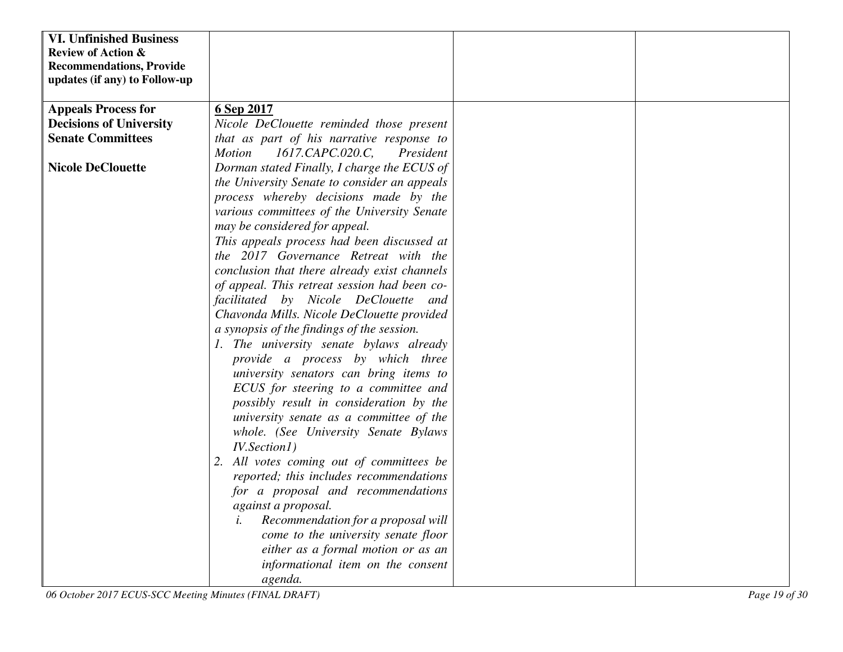| <b>VI. Unfinished Business</b>  |                                                |  |
|---------------------------------|------------------------------------------------|--|
| <b>Review of Action &amp;</b>   |                                                |  |
| <b>Recommendations, Provide</b> |                                                |  |
| updates (if any) to Follow-up   |                                                |  |
|                                 |                                                |  |
| <b>Appeals Process for</b>      | 6 Sep 2017                                     |  |
| <b>Decisions of University</b>  | Nicole DeClouette reminded those present       |  |
| <b>Senate Committees</b>        | that as part of his narrative response to      |  |
|                                 | 1617.CAPC.020.C,<br><b>Motion</b><br>President |  |
| <b>Nicole DeClouette</b>        | Dorman stated Finally, I charge the ECUS of    |  |
|                                 | the University Senate to consider an appeals   |  |
|                                 | process whereby decisions made by the          |  |
|                                 | various committees of the University Senate    |  |
|                                 | may be considered for appeal.                  |  |
|                                 | This appeals process had been discussed at     |  |
|                                 | the 2017 Governance Retreat with the           |  |
|                                 | conclusion that there already exist channels   |  |
|                                 | of appeal. This retreat session had been co-   |  |
|                                 | facilitated by Nicole DeClouette and           |  |
|                                 | Chavonda Mills. Nicole DeClouette provided     |  |
|                                 | a synopsis of the findings of the session.     |  |
|                                 | 1. The university senate bylaws already        |  |
|                                 | provide a process by which three               |  |
|                                 | university senators can bring items to         |  |
|                                 | ECUS for steering to a committee and           |  |
|                                 | possibly result in consideration by the        |  |
|                                 | university senate as a committee of the        |  |
|                                 | whole. (See University Senate Bylaws           |  |
|                                 | <i>IV.Section1</i> )                           |  |
|                                 | 2. All votes coming out of committees be       |  |
|                                 | reported; this includes recommendations        |  |
|                                 | for a proposal and recommendations             |  |
|                                 | against a proposal.                            |  |
|                                 | Recommendation for a proposal will<br>i.       |  |
|                                 | come to the university senate floor            |  |
|                                 | either as a formal motion or as an             |  |
|                                 | informational item on the consent              |  |
|                                 | agenda.                                        |  |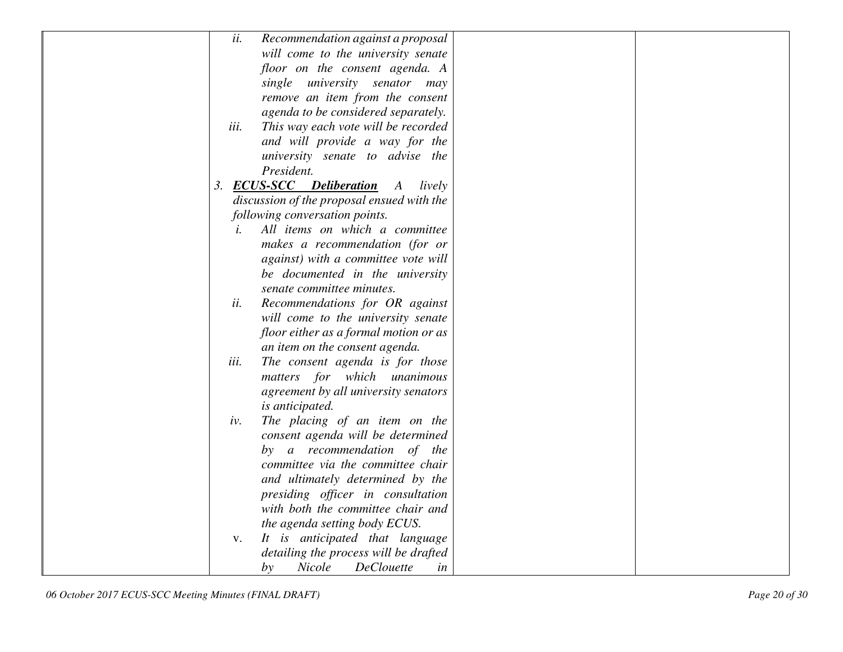| will come to the university senate<br>floor on the consent agenda. A<br>single university senator may<br>remove an item from the consent<br>agenda to be considered separately.<br>iii.<br>This way each vote will be recorded<br>and will provide a way for the<br>university senate to advise the<br>President.<br>3. ECUS-SCC Deliberation<br>A lively<br>discussion of the proposal ensued with the<br>following conversation points.<br>All items on which a committee<br>i.<br>makes a recommendation (for or |
|---------------------------------------------------------------------------------------------------------------------------------------------------------------------------------------------------------------------------------------------------------------------------------------------------------------------------------------------------------------------------------------------------------------------------------------------------------------------------------------------------------------------|
|                                                                                                                                                                                                                                                                                                                                                                                                                                                                                                                     |
|                                                                                                                                                                                                                                                                                                                                                                                                                                                                                                                     |
|                                                                                                                                                                                                                                                                                                                                                                                                                                                                                                                     |
|                                                                                                                                                                                                                                                                                                                                                                                                                                                                                                                     |
|                                                                                                                                                                                                                                                                                                                                                                                                                                                                                                                     |
|                                                                                                                                                                                                                                                                                                                                                                                                                                                                                                                     |
|                                                                                                                                                                                                                                                                                                                                                                                                                                                                                                                     |
|                                                                                                                                                                                                                                                                                                                                                                                                                                                                                                                     |
|                                                                                                                                                                                                                                                                                                                                                                                                                                                                                                                     |
|                                                                                                                                                                                                                                                                                                                                                                                                                                                                                                                     |
|                                                                                                                                                                                                                                                                                                                                                                                                                                                                                                                     |
|                                                                                                                                                                                                                                                                                                                                                                                                                                                                                                                     |
|                                                                                                                                                                                                                                                                                                                                                                                                                                                                                                                     |
|                                                                                                                                                                                                                                                                                                                                                                                                                                                                                                                     |
| against) with a committee vote will                                                                                                                                                                                                                                                                                                                                                                                                                                                                                 |
| be documented in the university                                                                                                                                                                                                                                                                                                                                                                                                                                                                                     |
| senate committee minutes.                                                                                                                                                                                                                                                                                                                                                                                                                                                                                           |
| Recommendations for OR against<br>ii.                                                                                                                                                                                                                                                                                                                                                                                                                                                                               |
| will come to the university senate                                                                                                                                                                                                                                                                                                                                                                                                                                                                                  |
| floor either as a formal motion or as                                                                                                                                                                                                                                                                                                                                                                                                                                                                               |
| an item on the consent agenda.                                                                                                                                                                                                                                                                                                                                                                                                                                                                                      |
| The consent agenda is for those<br>iii.                                                                                                                                                                                                                                                                                                                                                                                                                                                                             |
| matters for which unanimous                                                                                                                                                                                                                                                                                                                                                                                                                                                                                         |
| agreement by all university senators                                                                                                                                                                                                                                                                                                                                                                                                                                                                                |
| is anticipated.                                                                                                                                                                                                                                                                                                                                                                                                                                                                                                     |
| The placing of an item on the<br>iv.                                                                                                                                                                                                                                                                                                                                                                                                                                                                                |
| consent agenda will be determined                                                                                                                                                                                                                                                                                                                                                                                                                                                                                   |
| by a recommendation of the                                                                                                                                                                                                                                                                                                                                                                                                                                                                                          |
| committee via the committee chair                                                                                                                                                                                                                                                                                                                                                                                                                                                                                   |
| and ultimately determined by the                                                                                                                                                                                                                                                                                                                                                                                                                                                                                    |
| presiding officer in consultation                                                                                                                                                                                                                                                                                                                                                                                                                                                                                   |
| with both the committee chair and                                                                                                                                                                                                                                                                                                                                                                                                                                                                                   |
| the agenda setting body ECUS.                                                                                                                                                                                                                                                                                                                                                                                                                                                                                       |
| It is anticipated that language<br>V.                                                                                                                                                                                                                                                                                                                                                                                                                                                                               |
| detailing the process will be drafted                                                                                                                                                                                                                                                                                                                                                                                                                                                                               |
| <b>DeClouette</b><br>Nicole<br>by<br>in                                                                                                                                                                                                                                                                                                                                                                                                                                                                             |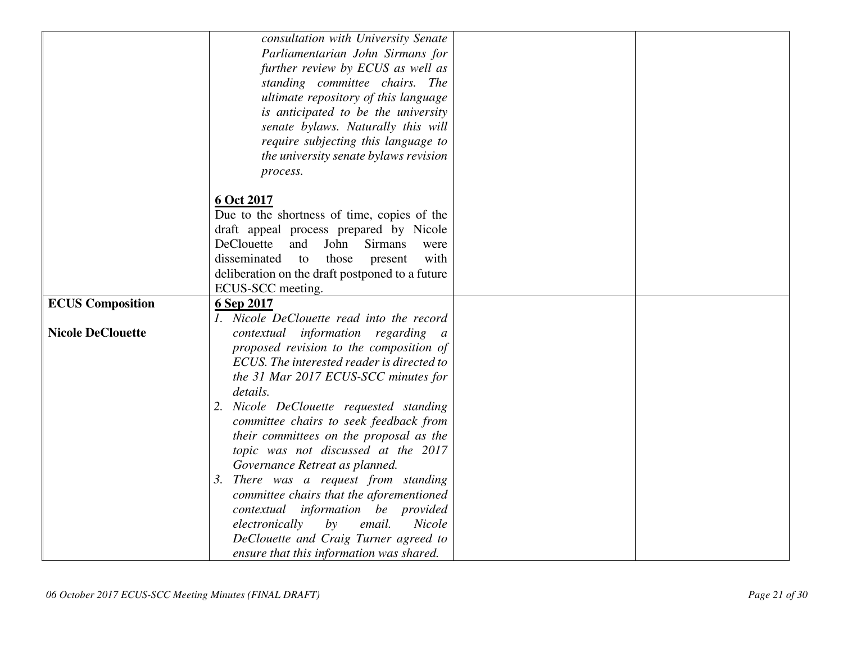|                          | consultation with University Senate                                              |  |
|--------------------------|----------------------------------------------------------------------------------|--|
|                          | Parliamentarian John Sirmans for                                                 |  |
|                          | further review by ECUS as well as                                                |  |
|                          | standing committee chairs. The                                                   |  |
|                          | ultimate repository of this language                                             |  |
|                          | is anticipated to be the university                                              |  |
|                          | senate bylaws. Naturally this will                                               |  |
|                          | require subjecting this language to                                              |  |
|                          | the university senate bylaws revision                                            |  |
|                          | process.                                                                         |  |
|                          |                                                                                  |  |
|                          | 6 Oct 2017                                                                       |  |
|                          | Due to the shortness of time, copies of the                                      |  |
|                          | draft appeal process prepared by Nicole                                          |  |
|                          | DeClouette<br>and<br>John<br><b>Sirmans</b><br>were                              |  |
|                          | disseminated<br>with<br>those<br>to<br>present                                   |  |
|                          | deliberation on the draft postponed to a future                                  |  |
|                          | ECUS-SCC meeting.                                                                |  |
| <b>ECUS Composition</b>  | 6 Sep 2017                                                                       |  |
|                          | 1. Nicole DeClouette read into the record                                        |  |
| <b>Nicole DeClouette</b> | contextual information regarding a                                               |  |
|                          | proposed revision to the composition of                                          |  |
|                          | ECUS. The interested reader is directed to                                       |  |
|                          | the 31 Mar 2017 ECUS-SCC minutes for                                             |  |
|                          | details.                                                                         |  |
|                          | 2. Nicole DeClouette requested standing                                          |  |
|                          | committee chairs to seek feedback from                                           |  |
|                          | their committees on the proposal as the                                          |  |
|                          | topic was not discussed at the 2017                                              |  |
|                          | Governance Retreat as planned.                                                   |  |
|                          | 3. There was a request from standing<br>committee chairs that the aforementioned |  |
|                          | contextual information be<br>provided                                            |  |
|                          | electronically<br>email.<br>Nicole<br>by                                         |  |
|                          | DeClouette and Craig Turner agreed to                                            |  |
|                          | ensure that this information was shared.                                         |  |
|                          |                                                                                  |  |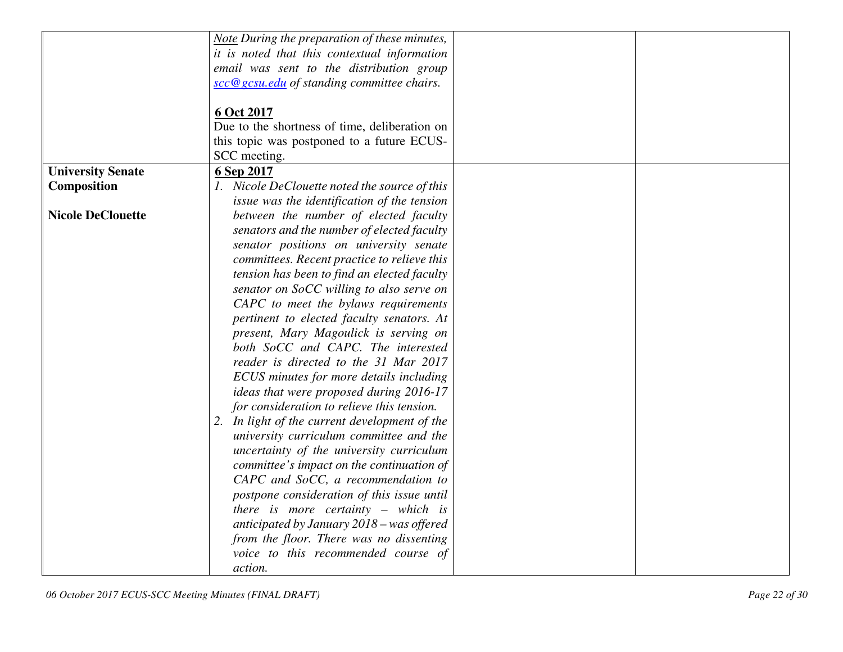|                          | Note During the preparation of these minutes, |  |
|--------------------------|-----------------------------------------------|--|
|                          | it is noted that this contextual information  |  |
|                          | email was sent to the distribution group      |  |
|                          | scc@gcsu.edu of standing committee chairs.    |  |
|                          |                                               |  |
|                          | 6 Oct 2017                                    |  |
|                          | Due to the shortness of time, deliberation on |  |
|                          | this topic was postponed to a future ECUS-    |  |
|                          | SCC meeting.                                  |  |
| <b>University Senate</b> | 6 Sep 2017                                    |  |
| <b>Composition</b>       | 1. Nicole DeClouette noted the source of this |  |
|                          | issue was the identification of the tension   |  |
| <b>Nicole DeClouette</b> | between the number of elected faculty         |  |
|                          | senators and the number of elected faculty    |  |
|                          | senator positions on university senate        |  |
|                          | committees. Recent practice to relieve this   |  |
|                          | tension has been to find an elected faculty   |  |
|                          |                                               |  |
|                          | senator on SoCC willing to also serve on      |  |
|                          | CAPC to meet the bylaws requirements          |  |
|                          | pertinent to elected faculty senators. At     |  |
|                          | present, Mary Magoulick is serving on         |  |
|                          | both SoCC and CAPC. The interested            |  |
|                          | reader is directed to the 31 Mar 2017         |  |
|                          | ECUS minutes for more details including       |  |
|                          | ideas that were proposed during 2016-17       |  |
|                          | for consideration to relieve this tension.    |  |
|                          | 2. In light of the current development of the |  |
|                          | university curriculum committee and the       |  |
|                          | uncertainty of the university curriculum      |  |
|                          | committee's impact on the continuation of     |  |
|                          | CAPC and SoCC, a recommendation to            |  |
|                          | postpone consideration of this issue until    |  |
|                          | there is more certainty $-$ which is          |  |
|                          | anticipated by January 2018 - was offered     |  |
|                          | from the floor. There was no dissenting       |  |
|                          | voice to this recommended course of           |  |
|                          | action.                                       |  |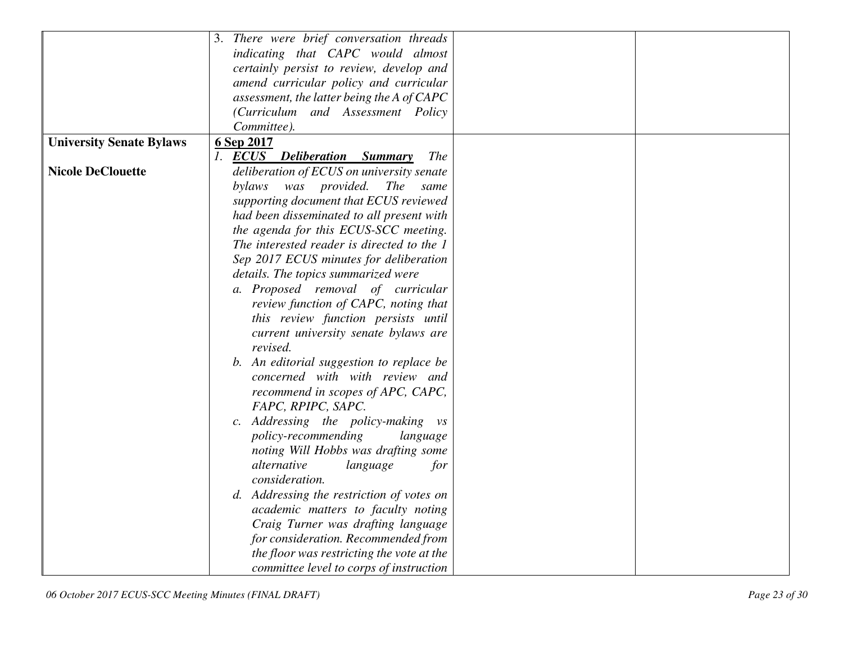|                                 | 3. There were brief conversation threads      |
|---------------------------------|-----------------------------------------------|
|                                 |                                               |
|                                 | indicating that CAPC would almost             |
|                                 | certainly persist to review, develop and      |
|                                 | amend curricular policy and curricular        |
|                                 | assessment, the latter being the A of CAPC    |
|                                 | (Curriculum and Assessment Policy             |
|                                 | Committee).                                   |
| <b>University Senate Bylaws</b> | 6 Sep 2017                                    |
|                                 | 1. ECUS Deliberation Summary<br><i>The</i>    |
| <b>Nicole DeClouette</b>        | deliberation of ECUS on university senate     |
|                                 | was provided.<br><i>The</i><br>bylaws<br>same |
|                                 | supporting document that ECUS reviewed        |
|                                 | had been disseminated to all present with     |
|                                 | the agenda for this ECUS-SCC meeting.         |
|                                 | The interested reader is directed to the 1    |
|                                 | Sep 2017 ECUS minutes for deliberation        |
|                                 | details. The topics summarized were           |
|                                 | a. Proposed removal of curricular             |
|                                 | review function of CAPC, noting that          |
|                                 | this review function persists until           |
|                                 | current university senate bylaws are          |
|                                 | revised.                                      |
|                                 | b. An editorial suggestion to replace be      |
|                                 | concerned with with review and                |
|                                 | recommend in scopes of APC, CAPC,             |
|                                 | FAPC, RPIPC, SAPC.                            |
|                                 | c. Addressing the policy-making vs            |
|                                 | policy-recommending<br>language               |
|                                 | noting Will Hobbs was drafting some           |
|                                 | alternative<br>language<br>for                |
|                                 | consideration.                                |
|                                 |                                               |
|                                 | d. Addressing the restriction of votes on     |
|                                 | academic matters to faculty noting            |
|                                 | Craig Turner was drafting language            |
|                                 | for consideration. Recommended from           |
|                                 | the floor was restricting the vote at the     |
|                                 | committee level to corps of instruction       |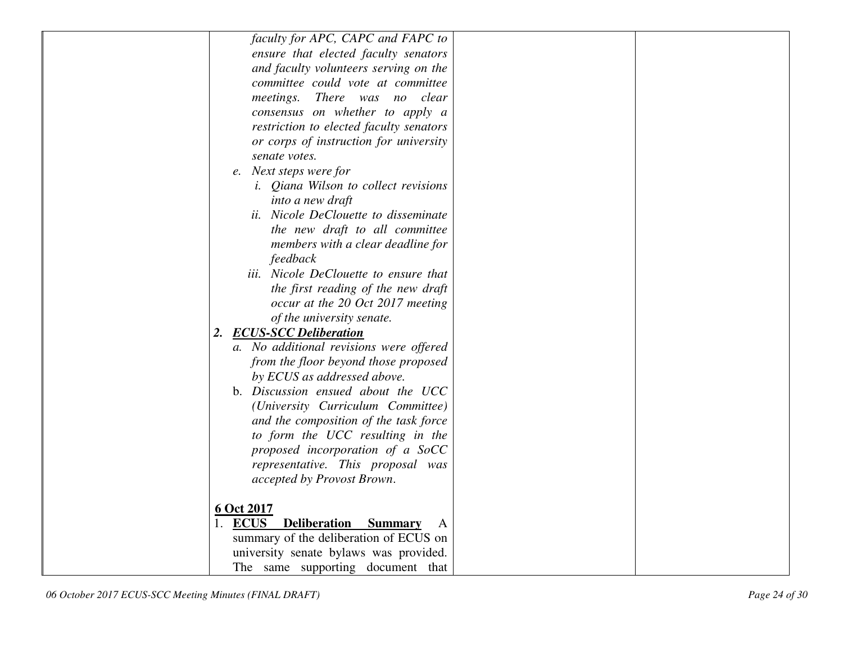| faculty for APC, CAPC and FAPC to             |   |
|-----------------------------------------------|---|
| ensure that elected faculty senators          |   |
| and faculty volunteers serving on the         |   |
| committee could vote at committee             |   |
| There was no clear<br><i>meetings.</i>        |   |
| consensus on whether to apply a               |   |
| restriction to elected faculty senators       |   |
| or corps of instruction for university        |   |
| senate votes.                                 |   |
| e. Next steps were for                        |   |
| <i>i.</i> Qiana Wilson to collect revisions   |   |
| into a new draft                              |   |
| ii. Nicole DeClouette to disseminate          |   |
| the new draft to all committee                |   |
| members with a clear deadline for             |   |
| feedback                                      |   |
| iii. Nicole DeClouette to ensure that         |   |
| the first reading of the new draft            |   |
| occur at the 20 Oct 2017 meeting              |   |
| of the university senate.                     |   |
| 2. ECUS-SCC Deliberation                      |   |
| a. No additional revisions were offered       |   |
| from the floor beyond those proposed          |   |
| by ECUS as addressed above.                   |   |
| b. Discussion ensued about the UCC            |   |
| (University Curriculum Committee)             |   |
| and the composition of the task force         |   |
| to form the UCC resulting in the              |   |
| proposed incorporation of a SoCC              |   |
| representative. This proposal was             |   |
| accepted by Provost Brown.                    |   |
|                                               |   |
| <u>6 Oct 2017</u>                             |   |
| 1. <b>ECUS</b> Deliberation<br><b>Summary</b> | A |
| summary of the deliberation of ECUS on        |   |
| university senate bylaws was provided.        |   |
| The same supporting document that             |   |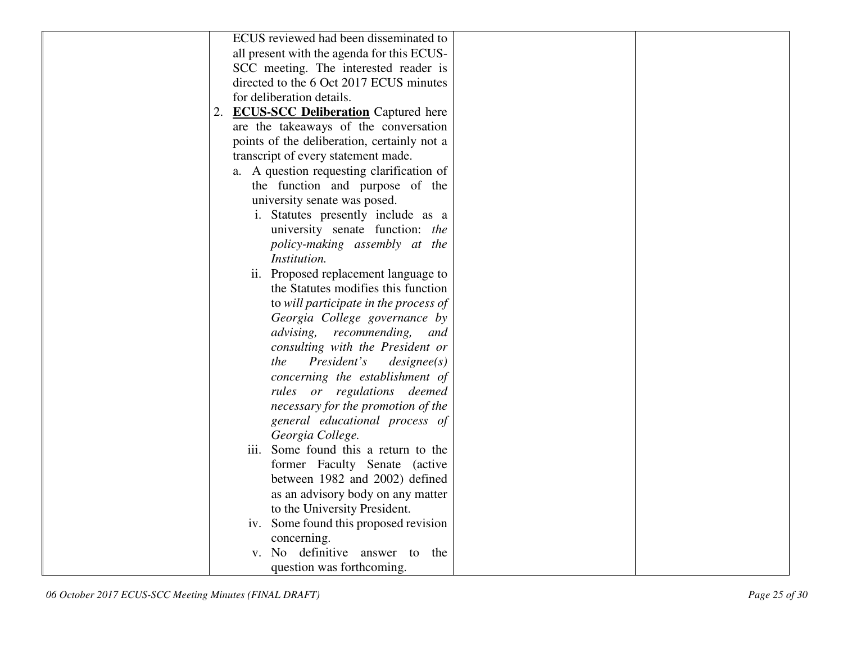|    | ECUS reviewed had been disseminated to      |  |
|----|---------------------------------------------|--|
|    | all present with the agenda for this ECUS-  |  |
|    | SCC meeting. The interested reader is       |  |
|    | directed to the 6 Oct 2017 ECUS minutes     |  |
|    | for deliberation details.                   |  |
| 2. | <b>ECUS-SCC Deliberation</b> Captured here  |  |
|    | are the takeaways of the conversation       |  |
|    | points of the deliberation, certainly not a |  |
|    | transcript of every statement made.         |  |
|    | a. A question requesting clarification of   |  |
|    | the function and purpose of the             |  |
|    | university senate was posed.                |  |
|    | i. Statutes presently include as a          |  |
|    | university senate function: the             |  |
|    | policy-making assembly at the               |  |
|    | Institution.                                |  |
|    | ii. Proposed replacement language to        |  |
|    | the Statutes modifies this function         |  |
|    | to will participate in the process of       |  |
|    | Georgia College governance by               |  |
|    | advising, recommending,<br>and              |  |
|    | consulting with the President or            |  |
|    | President's<br>designee(s)<br>the           |  |
|    | concerning the establishment of             |  |
|    | rules or regulations deemed                 |  |
|    | necessary for the promotion of the          |  |
|    | general educational process of              |  |
|    | Georgia College.                            |  |
|    | iii. Some found this a return to the        |  |
|    | former Faculty Senate (active               |  |
|    | between 1982 and 2002) defined              |  |
|    | as an advisory body on any matter           |  |
|    | to the University President.                |  |
|    | iv. Some found this proposed revision       |  |
|    | concerning.                                 |  |
|    | v. No definitive answer to the              |  |
|    | question was forthcoming.                   |  |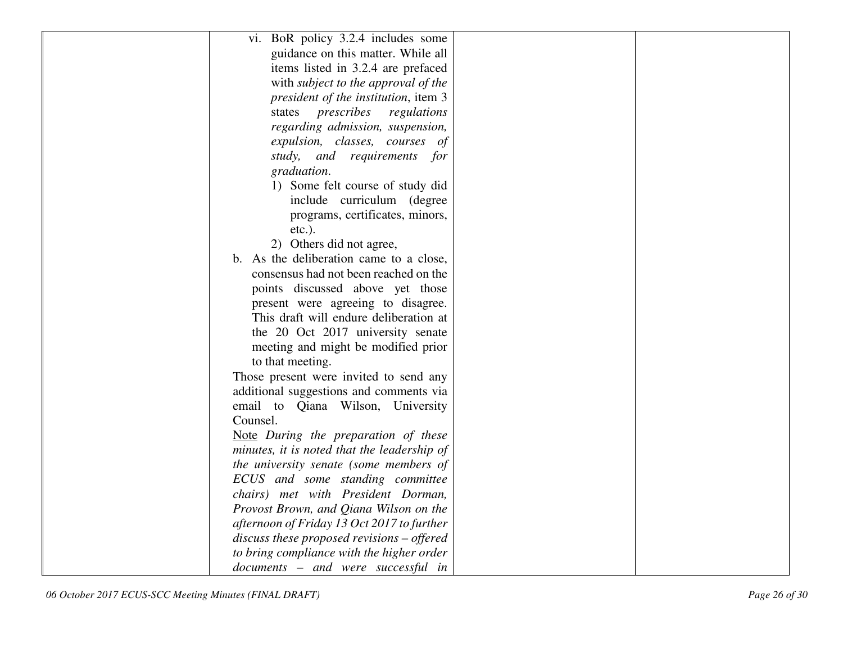| vi. BoR policy 3.2.4 includes some             |  |
|------------------------------------------------|--|
| guidance on this matter. While all             |  |
| items listed in 3.2.4 are prefaced             |  |
| with subject to the approval of the            |  |
| president of the institution, item 3           |  |
|                                                |  |
| states <i>prescribes</i><br>regulations        |  |
| regarding admission, suspension,               |  |
| expulsion, classes, courses of                 |  |
| study, and requirements for                    |  |
| graduation.                                    |  |
| 1) Some felt course of study did               |  |
| include curriculum (degree                     |  |
| programs, certificates, minors,                |  |
| $etc.$ ).                                      |  |
| 2) Others did not agree,                       |  |
| b. As the deliberation came to a close,        |  |
| consensus had not been reached on the          |  |
| points discussed above yet those               |  |
| present were agreeing to disagree.             |  |
| This draft will endure deliberation at         |  |
| the 20 Oct 2017 university senate              |  |
| meeting and might be modified prior            |  |
| to that meeting.                               |  |
| Those present were invited to send any         |  |
| additional suggestions and comments via        |  |
| email to Qiana Wilson, University              |  |
| Counsel.                                       |  |
| Note During the preparation of these           |  |
| minutes, it is noted that the leadership of    |  |
| the university senate (some members of         |  |
|                                                |  |
| ECUS and some standing committee               |  |
| chairs) met with President Dorman,             |  |
| Provost Brown, and Qiana Wilson on the         |  |
| afternoon of Friday 13 Oct 2017 to further     |  |
| $discuss$ these proposed revisions $-$ offered |  |
| to bring compliance with the higher order      |  |
| documents - and were successful in             |  |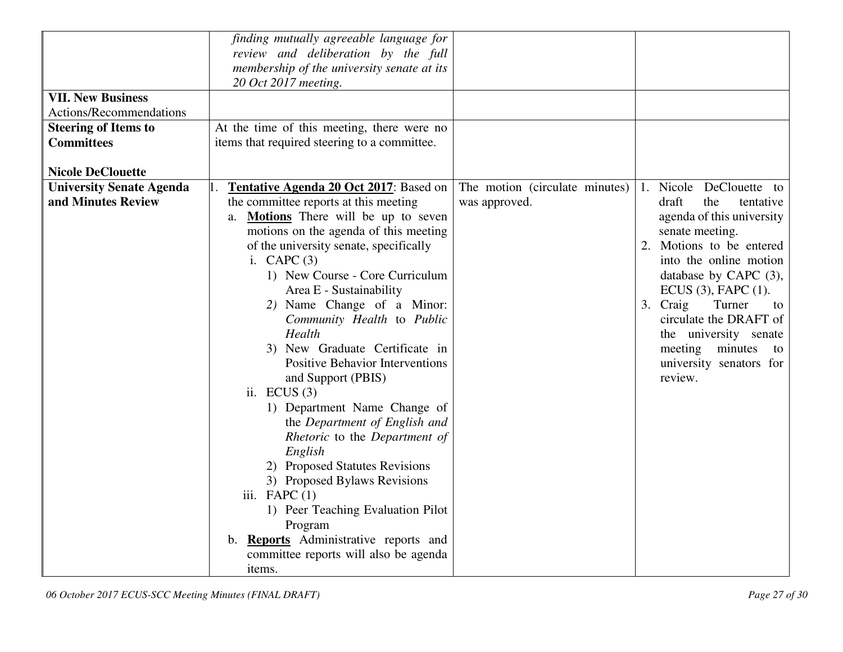| <b>VII. New Business</b><br>Actions/Recommendations | finding mutually agreeable language for<br>review and deliberation by the full<br>membership of the university senate at its<br>20 Oct 2017 meeting. |                                |                                                 |
|-----------------------------------------------------|------------------------------------------------------------------------------------------------------------------------------------------------------|--------------------------------|-------------------------------------------------|
| <b>Steering of Items to</b>                         | At the time of this meeting, there were no                                                                                                           |                                |                                                 |
| <b>Committees</b>                                   | items that required steering to a committee.                                                                                                         |                                |                                                 |
| <b>Nicole DeClouette</b>                            |                                                                                                                                                      |                                |                                                 |
| <b>University Senate Agenda</b>                     | Tentative Agenda 20 Oct 2017: Based on                                                                                                               | The motion (circulate minutes) | DeClouette to<br>Nicole<br>1.                   |
| and Minutes Review                                  | the committee reports at this meeting                                                                                                                | was approved.                  | draft<br>the<br>tentative                       |
|                                                     | <b>Motions</b> There will be up to seven<br>a.                                                                                                       |                                | agenda of this university                       |
|                                                     | motions on the agenda of this meeting                                                                                                                |                                | senate meeting.                                 |
|                                                     | of the university senate, specifically                                                                                                               |                                | Motions to be entered<br>2.                     |
|                                                     | i. CAPC $(3)$                                                                                                                                        |                                | into the online motion                          |
|                                                     | 1) New Course - Core Curriculum                                                                                                                      |                                | database by CAPC $(3)$ ,                        |
|                                                     | Area E - Sustainability<br>2) Name Change of a Minor:                                                                                                |                                | ECUS $(3)$ , FAPC $(1)$ .<br>3. Craig<br>Turner |
|                                                     | Community Health to Public                                                                                                                           |                                | to<br>circulate the DRAFT of                    |
|                                                     | Health                                                                                                                                               |                                | the university senate                           |
|                                                     | 3) New Graduate Certificate in                                                                                                                       |                                | meeting minutes<br>to                           |
|                                                     | Positive Behavior Interventions                                                                                                                      |                                | university senators for                         |
|                                                     | and Support (PBIS)                                                                                                                                   |                                | review.                                         |
|                                                     | ii. ECUS $(3)$                                                                                                                                       |                                |                                                 |
|                                                     | 1) Department Name Change of                                                                                                                         |                                |                                                 |
|                                                     | the Department of English and                                                                                                                        |                                |                                                 |
|                                                     | Rhetoric to the Department of                                                                                                                        |                                |                                                 |
|                                                     | English                                                                                                                                              |                                |                                                 |
|                                                     | 2) Proposed Statutes Revisions                                                                                                                       |                                |                                                 |
|                                                     | 3) Proposed Bylaws Revisions                                                                                                                         |                                |                                                 |
|                                                     | iii. $FAPC(1)$                                                                                                                                       |                                |                                                 |
|                                                     | 1) Peer Teaching Evaluation Pilot                                                                                                                    |                                |                                                 |
|                                                     | Program                                                                                                                                              |                                |                                                 |
|                                                     | b. Reports Administrative reports and                                                                                                                |                                |                                                 |
|                                                     | committee reports will also be agenda                                                                                                                |                                |                                                 |
|                                                     | items.                                                                                                                                               |                                |                                                 |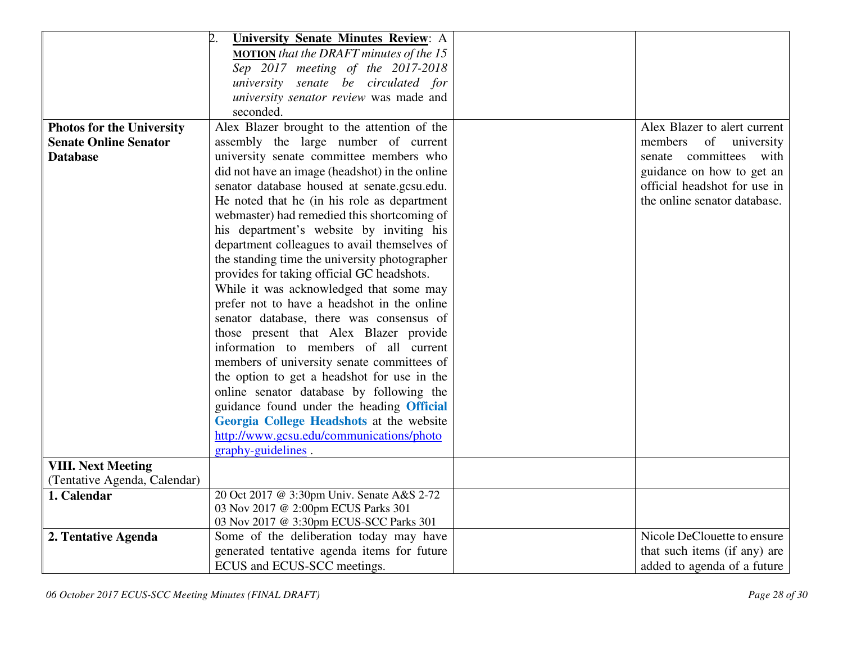|                                  | $\overline{2}$ .<br><b>University Senate Minutes Review: A</b> |                              |
|----------------------------------|----------------------------------------------------------------|------------------------------|
|                                  | <b>MOTION</b> that the DRAFT minutes of the 15                 |                              |
|                                  | Sep 2017 meeting of the 2017-2018                              |                              |
|                                  | university senate be circulated for                            |                              |
|                                  | university senator review was made and                         |                              |
|                                  | seconded.                                                      |                              |
| <b>Photos for the University</b> | Alex Blazer brought to the attention of the                    | Alex Blazer to alert current |
| <b>Senate Online Senator</b>     | assembly the large number of current                           | members<br>of university     |
| <b>Database</b>                  | university senate committee members who                        | senate committees with       |
|                                  | did not have an image (headshot) in the online                 | guidance on how to get an    |
|                                  | senator database housed at senate.gcsu.edu.                    | official headshot for use in |
|                                  | He noted that he (in his role as department                    | the online senator database. |
|                                  | webmaster) had remedied this shortcoming of                    |                              |
|                                  | his department's website by inviting his                       |                              |
|                                  | department colleagues to avail themselves of                   |                              |
|                                  | the standing time the university photographer                  |                              |
|                                  | provides for taking official GC headshots.                     |                              |
|                                  | While it was acknowledged that some may                        |                              |
|                                  | prefer not to have a headshot in the online                    |                              |
|                                  | senator database, there was consensus of                       |                              |
|                                  | those present that Alex Blazer provide                         |                              |
|                                  | information to members of all current                          |                              |
|                                  | members of university senate committees of                     |                              |
|                                  | the option to get a headshot for use in the                    |                              |
|                                  | online senator database by following the                       |                              |
|                                  | guidance found under the heading Official                      |                              |
|                                  | Georgia College Headshots at the website                       |                              |
|                                  | http://www.gcsu.edu/communications/photo                       |                              |
|                                  | graphy-guidelines.                                             |                              |
| <b>VIII. Next Meeting</b>        |                                                                |                              |
| (Tentative Agenda, Calendar)     |                                                                |                              |
| 1. Calendar                      | 20 Oct 2017 @ 3:30pm Univ. Senate A&S 2-72                     |                              |
|                                  | 03 Nov 2017 @ 2:00pm ECUS Parks 301                            |                              |
|                                  | 03 Nov 2017 @ 3:30pm ECUS-SCC Parks 301                        |                              |
| 2. Tentative Agenda              | Some of the deliberation today may have                        | Nicole DeClouette to ensure  |
|                                  | generated tentative agenda items for future                    | that such items (if any) are |
|                                  | ECUS and ECUS-SCC meetings.                                    | added to agenda of a future  |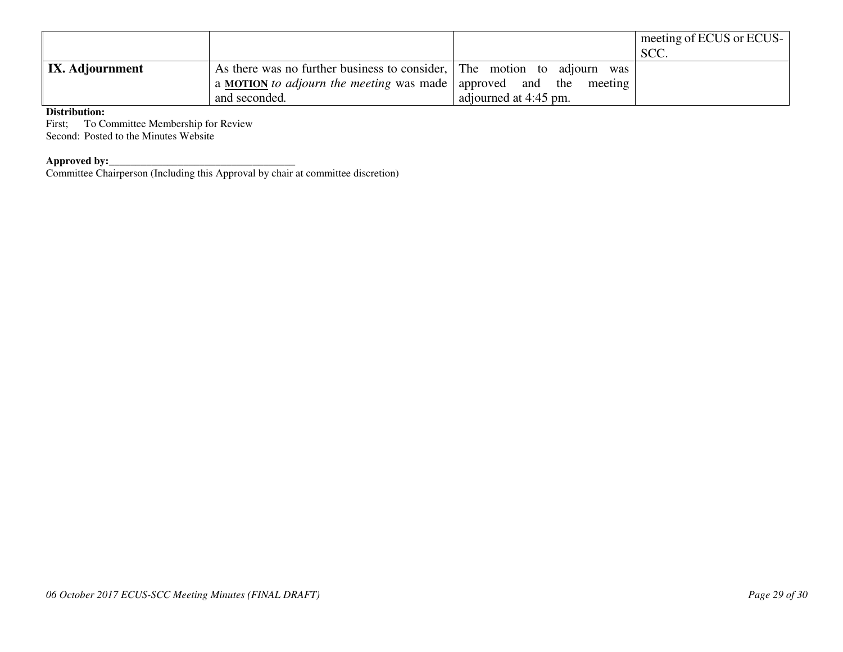|                 |                                                                     |                       | meeting of ECUS or ECUS- |
|-----------------|---------------------------------------------------------------------|-----------------------|--------------------------|
|                 |                                                                     |                       | SCC.                     |
| IX. Adjournment | As there was no further business to consider, The motion to adjourn | was                   |                          |
|                 | a MOTION to adjourn the meeting was made approved and the meeting   |                       |                          |
|                 | and seconded.                                                       | adjourned at 4:45 pm. |                          |

### **Distribution:**

First; To Committee Membership for Review Second: Posted to the Minutes Website

**Approved by:**<br>Committee Chairperson (Including this Approval by chair at committee discretion)